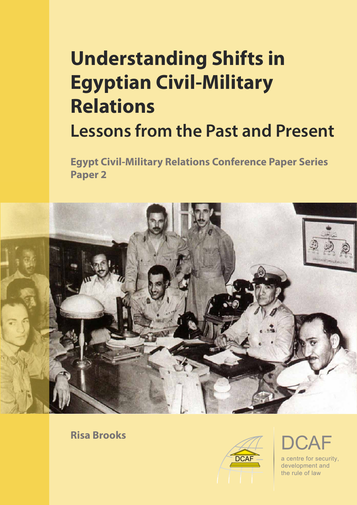# **Understanding Shifts in Egyptian Civil-Military Relations Lessons from the Past and Present**

**Egypt Civil-Military Relations Conference Paper Series Paper 2**



**Risa Brooks**



DCAF a centre for security, development and the rule of law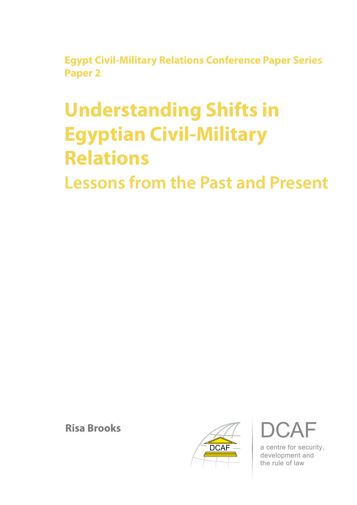**Egypt Civil-Military Relations Conference Paper Series Paper 2**

# **Understanding Shifts in Egyptian Civil-Military Relations**

**Lessons from the Past and Present**

**Risa Brooks**



DCAF

a centre for security, development and the rule of law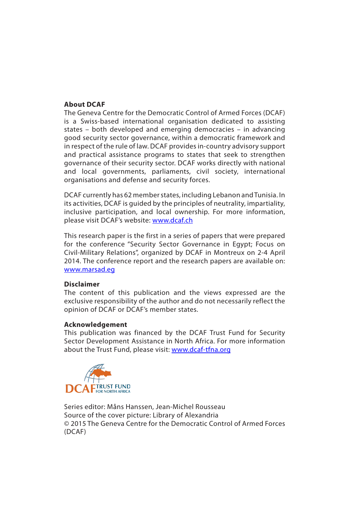#### **About DCAF**

The Geneva Centre for the Democratic Control of Armed Forces (DCAF) is a Swiss-based international organisation dedicated to assisting states – both developed and emerging democracies – in advancing good security sector governance, within a democratic framework and in respect of the rule of law. DCAF provides in-country advisory support and practical assistance programs to states that seek to strengthen governance of their security sector. DCAF works directly with national and local governments, parliaments, civil society, international organisations and defense and security forces.

DCAF currently has 62 member states, including Lebanon and Tunisia. In its activities, DCAF is guided by the principles of neutrality, impartiality, inclusive participation, and local ownership. For more information, please visit DCAF's website: <www.dcaf.ch>

This research paper is the first in a series of papers that were prepared for the conference "Security Sector Governance in Egypt; Focus on Civil-Military Relations", organized by DCAF in Montreux on 2-4 April 2014. The conference report and the research papers are available on: <www.marsad.eg>

#### **Disclaimer**

The content of this publication and the views expressed are the exclusive responsibility of the author and do not necessarily reflect the opinion of DCAF or DCAF's member states.

#### **Acknowledgement**

This publication was financed by the DCAF Trust Fund for Security Sector Development Assistance in North Africa. For more information about the Trust Fund, please visit:<www.dcaf-tfna.org>



Series editor: Måns Hanssen, Jean-Michel Rousseau Source of the cover picture: Library of Alexandria © 2015 The Geneva Centre for the Democratic Control of Armed Forces (DCAF)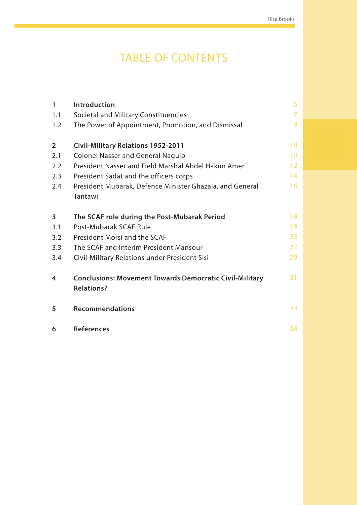# TABLE OF CONTENTS

| $\mathbf{1}$   | Introduction                                                                        | 5              |  |  |
|----------------|-------------------------------------------------------------------------------------|----------------|--|--|
| 1.1            | <b>Societal and Military Constituencies</b>                                         | $\overline{7}$ |  |  |
| 1.2            | The Power of Appointment, Promotion, and Dismissal                                  | 9              |  |  |
| $\overline{2}$ | <b>Civil-Military Relations 1952-2011</b>                                           | 10             |  |  |
| 2.1            | <b>Colonel Nasser and General Naguib</b>                                            | 10             |  |  |
| 2.2            | President Nasser and Field Marshal Abdel Hakim Amer                                 |                |  |  |
| 2.3            | President Sadat and the officers corps                                              | 14             |  |  |
| 2.4            | President Mubarak, Defence Minister Ghazala, and General                            | 16             |  |  |
|                | Tantawi                                                                             |                |  |  |
| 3              | The SCAF role during the Post-Mubarak Period                                        | 19             |  |  |
| 3.1            | Post-Mubarak SCAF Rule                                                              | 19             |  |  |
| 3.2            | President Morsi and the SCAF                                                        | 23             |  |  |
| 3.3            | The SCAF and Interim President Mansour                                              | 27             |  |  |
| 3.4            | Civil-Military Relations under President Sisi                                       | 29             |  |  |
| 4              | <b>Conclusions: Movement Towards Democratic Civil-Military</b><br><b>Relations?</b> | 31             |  |  |
| 5              | <b>Recommendations</b>                                                              | 33             |  |  |
| 6              | <b>References</b>                                                                   | 34             |  |  |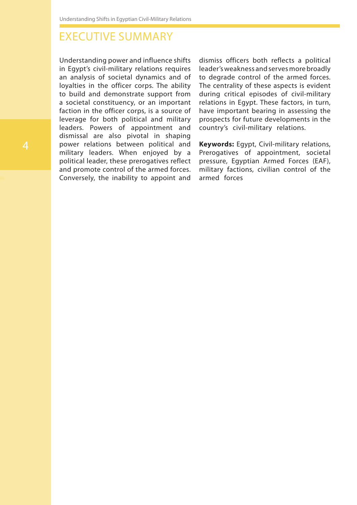Understanding Shifts in Egyptian Civil-Military Relations

# EXECUTIVE SUMMARY

Understanding power and influence shifts in Egypt's civil-military relations requires an analysis of societal dynamics and of loyalties in the officer corps. The ability to build and demonstrate support from a societal constituency, or an important faction in the officer corps, is a source of leverage for both political and military leaders. Powers of appointment and dismissal are also pivotal in shaping power relations between political and military leaders. When enjoyed by a political leader, these prerogatives reflect and promote control of the armed forces. Conversely, the inability to appoint and dismiss officers both reflects a political leader's weakness and serves more broadly to degrade control of the armed forces. The centrality of these aspects is evident during critical episodes of civil-military relations in Egypt. These factors, in turn, have important bearing in assessing the prospects for future developments in the country's civil-military relations.

**Keywords:** Egypt, Civil-military relations, Prerogatives of appointment, societal pressure, Egyptian Armed Forces (EAF), military factions, civilian control of the armed forces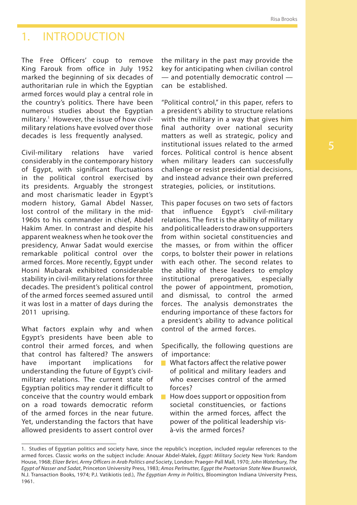## 1. INTRODUCTION

The Free Officers' coup to remove King Farouk from office in July 1952 marked the beginning of six decades of authoritarian rule in which the Egyptian armed forces would play a central role in the country's politics. There have been numerous studies about the Egyptian military.<sup>1</sup> However, the issue of how civilmilitary relations have evolved over those decades is less frequently analysed.

Civil-military relations have varied considerably in the contemporary history of Egypt, with significant fluctuations in the political control exercised by its presidents. Arguably the strongest and most charismatic leader in Egypt's modern history, Gamal Abdel Nasser, lost control of the military in the mid-1960s to his commander in chief, Abdel Hakim Amer. In contrast and despite his apparent weakness when he took over the presidency, Anwar Sadat would exercise remarkable political control over the armed forces. More recently, Egypt under Hosni Mubarak exhibited considerable stability in civil-military relations for three decades. The president's political control of the armed forces seemed assured until it was lost in a matter of days during the 2011 uprising.

What factors explain why and when Egypt's presidents have been able to control their armed forces, and when that control has faltered? The answers have important implications for understanding the future of Egypt's civilmilitary relations. The current state of Egyptian politics may render it difficult to conceive that the country would embark on a road towards democratic reform of the armed forces in the near future. Yet, understanding the factors that have allowed presidents to assert control over

the military in the past may provide the key for anticipating when civilian control — and potentially democratic control can be established.

"Political control," in this paper, refers to a president's ability to structure relations with the military in a way that gives him final authority over national security matters as well as strategic, policy and institutional issues related to the armed forces. Political control is hence absent when military leaders can successfully challenge or resist presidential decisions, and instead advance their own preferred strategies, policies, or institutions.

This paper focuses on two sets of factors that influence Egypt's civil-military relations. The first is the ability of military and political leaders to draw on supporters from within societal constituencies and the masses, or from within the officer corps, to bolster their power in relations with each other. The second relates to the ability of these leaders to employ institutional prerogatives, especially the power of appointment, promotion, and dismissal, to control the armed forces. The analysis demonstrates the enduring importance of these factors for a president's ability to advance political control of the armed forces.

Specifically, the following questions are of importance:

- **What factors affect the relative power** of political and military leaders and who exercises control of the armed forces?
- $\blacksquare$  How does support or opposition from societal constituencies, or factions within the armed forces, affect the power of the political leadership visà-vis the armed forces?

<sup>1.</sup> Studies of Egyptian politics and society have, since the republic's inception, included regular references to the armed forces. Classic works on the subject include: Anouar Abdel-Malek, *Egypt: Military Society* New York: Random House, 1968; *Elizer Be'eri, Army Officers in Arab Politics and Society*, London: Praeger-Pall Mall, 1970; *John Waterbury, The Egypt of Nasser and Sadat*, Princeton University Press, 1983; *Amos Perlmutter, Egypt the Praetorian State New Brunswick*, N.J. Transaction Books, 1974; P.J. Vatikiotis (ed.), *The Egyptian Army in Politics*, Bloomington Indiana University Press, 1961.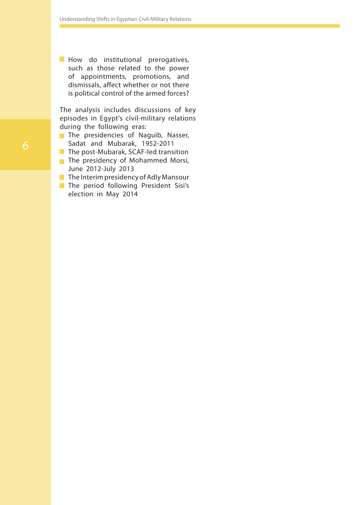How do institutional prerogatives, such as those related to the power of appointments, promotions, and dismissals, affect whether or not there is political control of the armed forces?

The analysis includes discussions of key episodes in Egypt's civil-military relations during the following eras:

- The presidencies of Naguib, Nasser, Sadat and Mubarak, 1952-2011
- $\blacksquare$  The post-Mubarak, SCAF-led transition
- The presidency of Mohammed Morsi, June 2012-July 2013
- $\blacksquare$  The Interim presidency of Adly Mansour
- The period following President Sisi's election in May 2014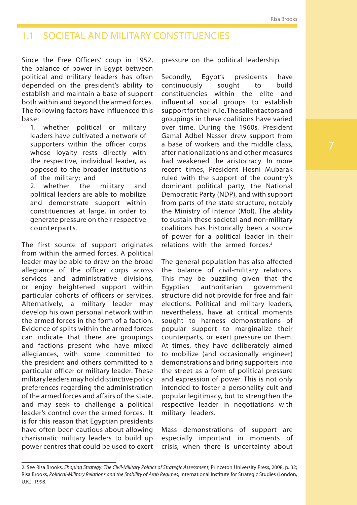#### 1.1 SOCIETAL AND MILITARY CONSTITUENCIES

Since the Free Officers' coup in 1952, the balance of power in Egypt between political and military leaders has often depended on the president's ability to establish and maintain a base of support both within and beyond the armed forces. The following factors have influenced this base:

1. whether political or military leaders have cultivated a network of supporters within the officer corps whose loyalty rests directly with the respective, individual leader, as opposed to the broader institutions of the military; and

2. whether the military and political leaders are able to mobilize and demonstrate support within constituencies at large, in order to generate pressure on their respective counterparts.

The first source of support originates from within the armed forces. A political leader may be able to draw on the broad allegiance of the officer corps across services and administrative divisions, or enjoy heightened support within particular cohorts of officers or services. Alternatively, a military leader may develop his own personal network within the armed forces in the form of a faction. Evidence of splits within the armed forces can indicate that there are groupings and factions present who have mixed allegiances, with some committed to the president and others committed to a particular officer or military leader. These military leaders may hold distinctive policy preferences regarding the administration of the armed forces and affairs of the state, and may seek to challenge a political leader's control over the armed forces. It is for this reason that Egyptian presidents have often been cautious about allowing charismatic military leaders to build up power centres that could be used to exert pressure on the political leadership.

Secondly, Egypt's presidents have continuously sought to build constituencies within the elite and influential social groups to establish support for their rule. The salient actors and groupings in these coalitions have varied over time. During the 1960s, President Gamal Adbel Nasser drew support from a base of workers and the middle class, after nationalizations and other measures had weakened the aristocracy. In more recent times, President Hosni Mubarak ruled with the support of the country's dominant political party, the National Democratic Party (NDP), and with support from parts of the state structure, notably the Ministry of Interior (MoI). The ability to sustain these societal and non-military coalitions has historically been a source of power for a political leader in their relations with the armed forces.<sup>2</sup>

The general population has also affected the balance of civil-military relations. This may be puzzling given that the Egyptian authoritarian government structure did not provide for free and fair elections. Political and military leaders, nevertheless, have at critical moments sought to harness demonstrations of popular support to marginalize their counterparts, or exert pressure on them. At times, they have deliberately aimed to mobilize (and occasionally engineer) demonstrations and bring supporters into the street as a form of political pressure and expression of power. This is not only intended to foster a personality cult and popular legitimacy, but to strengthen the respective leader in negotiations with military leaders.

Mass demonstrations of support are especially important in moments of crisis, when there is uncertainty about

<sup>2.</sup> See Risa Brooks, *Shaping Strategy: The Civil-Military Politics of Strategic Assessment*, Princeton University Press, 2008, p. 32; Risa Brooks, *Political-Military Relations and the Stability of Arab Regimes*, International Institute for Strategic Studies (London, U.K.), 1998.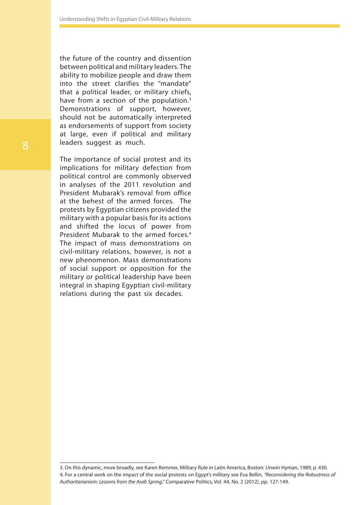the future of the country and dissention between political and military leaders. The ability to mobilize people and draw them into the street clarifies the "mandate" that a political leader, or military chiefs, have from a section of the population.<sup>3</sup> Demonstrations of support, however, should not be automatically interpreted as endorsements of support from society at large, even if political and military leaders suggest as much.

The importance of social protest and its implications for military defection from political control are commonly observed in analyses of the 2011 revolution and President Mubarak's removal from office at the behest of the armed forces. The protests by Egyptian citizens provided the military with a popular basis for its actions and shifted the locus of power from President Mubarak to the armed forces.<sup>4</sup> The impact of mass demonstrations on civil-military relations, however, is not a new phenomenon. Mass demonstrations of social support or opposition for the military or political leadership have been integral in shaping Egyptian civil-military relations during the past six decades.

<sup>3.</sup> On this dynamic, more broadly, see Karen Remmer, Military Rule in Latin America, Boston: Unwin Hyman, 1989, p. 430. 4. For a central work on the impact of the social protests on Egypt's military see Eva Bellin, *"Reconsidering the Robustness of Authoritarianism: Lessons from the Arab Spring,"* Comparative Politics, Vol. 44, No. 2 (2012), pp. 127-149.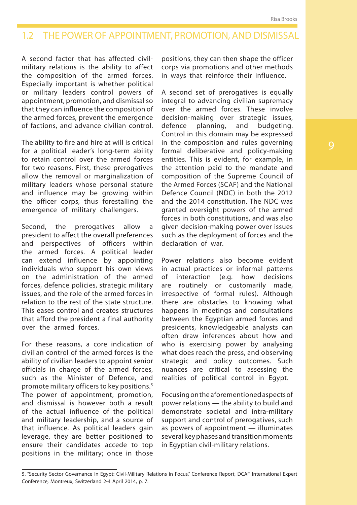## 1.2 THE POWER OF APPOINTMENT, PROMOTION, AND DISMISSAL

A second factor that has affected civilmilitary relations is the ability to affect the composition of the armed forces. Especially important is whether political or military leaders control powers of appointment, promotion, and dismissal so that they can influence the composition of the armed forces, prevent the emergence of factions, and advance civilian control.

The ability to fire and hire at will is critical for a political leader's long-term ability to retain control over the armed forces for two reasons. First, these prerogatives allow the removal or marginalization of military leaders whose personal stature and influence may be growing within the officer corps, thus forestalling the emergence of military challengers.

Second, the prerogatives allow a president to affect the overall preferences and perspectives of officers within the armed forces. A political leader can extend influence by appointing individuals who support his own views on the administration of the armed forces, defence policies, strategic military issues, and the role of the armed forces in relation to the rest of the state structure. This eases control and creates structures that afford the president a final authority over the armed forces.

For these reasons, a core indication of civilian control of the armed forces is the ability of civilian leaders to appoint senior officials in charge of the armed forces, such as the Minister of Defence, and promote military officers to key positions.5 The power of appointment, promotion, and dismissal is however both a result of the actual influence of the political and military leadership, and a source of that influence. As political leaders gain leverage, they are better positioned to ensure their candidates accede to top positions in the military; once in those

positions, they can then shape the officer corps via promotions and other methods in ways that reinforce their influence.

A second set of prerogatives is equally integral to advancing civilian supremacy over the armed forces. These involve decision-making over strategic issues, defence planning, and budgeting. Control in this domain may be expressed in the composition and rules governing formal deliberative and policy-making entities. This is evident, for example, in the attention paid to the mandate and composition of the Supreme Council of the Armed Forces (SCAF) and the National Defence Council (NDC) in both the 2012 and the 2014 constitution. The NDC was granted oversight powers of the armed forces in both constitutions, and was also given decision-making power over issues such as the deployment of forces and the declaration of war.

Power relations also become evident in actual practices or informal patterns of interaction (e.g. how decisions are routinely or customarily made, irrespective of formal rules). Although there are obstacles to knowing what happens in meetings and consultations between the Egyptian armed forces and presidents, knowledgeable analysts can often draw inferences about how and who is exercising power by analysing what does reach the press, and observing strategic and policy outcomes. Such nuances are critical to assessing the realities of political control in Egypt.

Focusing on the aforementioned aspects of power relations — the ability to build and demonstrate societal and intra-military support and control of prerogatives, such as powers of appointment — illuminates several key phases and transition moments in Egyptian civil-military relations.

<sup>5. &</sup>quot;Security Sector Governance in Egypt: Civil-Military Relations in Focus," Conference Report, DCAF International Expert Conference, Montreux, Switzerland 2-4 April 2014, p. 7.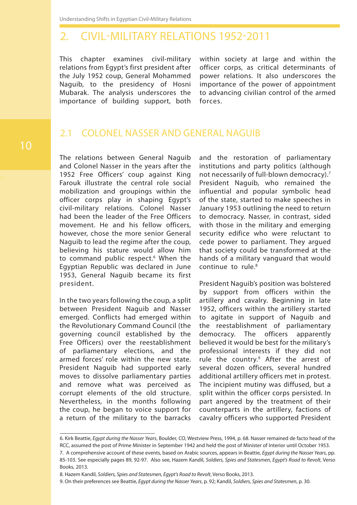Understanding Shifts in Egyptian Civil-Military Relations

## 2. CIVIL-MILITARY RELATIONS 1952-2011

This chapter examines civil-military relations from Egypt's first president after the July 1952 coup, General Mohammed Naguib, to the presidency of Hosni Mubarak. The analysis underscores the importance of building support, both within society at large and within the officer corps, as critical determinants of power relations. It also underscores the importance of the power of appointment to advancing civilian control of the armed forces.

#### 2.1 COLONEL NASSER AND GENERAL NAGUIB

10

The relations between General Naguib and Colonel Nasser in the years after the 1952 Free Officers' coup against King Farouk illustrate the central role social mobilization and groupings within the officer corps play in shaping Egypt's civil-military relations. Colonel Nasser had been the leader of the Free Officers movement. He and his fellow officers, however, chose the more senior General Naguib to lead the regime after the coup, believing his stature would allow him to command public respect.<sup>6</sup> When the Egyptian Republic was declared in June 1953, General Naguib became its first president.

In the two years following the coup, a split between President Naguib and Nasser emerged. Conflicts had emerged within the Revolutionary Command Council (the governing council established by the Free Officers) over the reestablishment of parliamentary elections, and the armed forces' role within the new state. President Naguib had supported early moves to dissolve parliamentary parties and remove what was perceived as corrupt elements of the old structure. Nevertheless, in the months following the coup, he began to voice support for a return of the military to the barracks

and the restoration of parliamentary institutions and party politics (although not necessarily of full-blown democracy).7 President Naguib, who remained the influential and popular symbolic head of the state, started to make speeches in January 1953 outlining the need to return to democracy. Nasser, in contrast, sided with those in the military and emerging security edifice who were reluctant to cede power to parliament. They argued that society could be transformed at the hands of a military vanguard that would continue to rule.8

President Naguib's position was bolstered by support from officers within the artillery and cavalry. Beginning in late 1952, officers within the artillery started to agitate in support of Naguib and the reestablishment of parliamentary democracy. The officers apparently believed it would be best for the military's professional interests if they did not rule the country.<sup>9</sup> After the arrest of several dozen officers, several hundred additional artillery officers met in protest. The incipient mutiny was diffused, but a split within the officer corps persisted. In part angered by the treatment of their counterparts in the artillery, factions of cavalry officers who supported President

<sup>6.</sup> Kirk Beattie, *Egypt during the Nasser Years*, Boulder, CO, Westview Press, 1994, p. 68. Nasser remained de facto head of the RCC, assumed the post of Prime Minister in September 1942 and held the post of Minister of Interior until October 1953.

<sup>7.</sup> A comprehensive account of these events, based on Arabic sources, appears in Beattie, *Egypt during the Nasser Years*, pp. 85-103. See especially pages 89, 92-97. Also see, Hazem Kandil, *Soldiers, Spies and Statesmen, Egypt's Road to Revolt*, Verso Books, 2013.

<sup>8.</sup> Hazem Kandil, *Soldiers, Spies and Statesmen, Egypt's Road to Revolt*, Verso Books, 2013.

<sup>9.</sup> On their preferences see Beattie, *Egypt during the Nasser Years*, p. 92; Kandil, *Soldiers, Spies and Statesmen*, p. 30.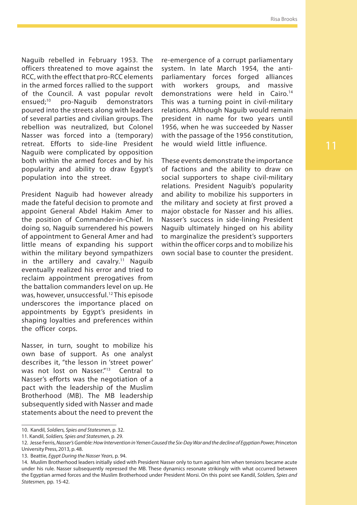Naguib rebelled in February 1953. The officers threatened to move against the RCC, with the effect that pro-RCC elements in the armed forces rallied to the support of the Council. A vast popular revolt ensued;10 pro-Naguib demonstrators poured into the streets along with leaders of several parties and civilian groups. The rebellion was neutralized, but Colonel Nasser was forced into a (temporary) retreat. Efforts to side-line President Naguib were complicated by opposition both within the armed forces and by his popularity and ability to draw Egypt's population into the street.

President Naguib had however already made the fateful decision to promote and appoint General Abdel Hakim Amer to the position of Commander-in-Chief. In doing so, Naguib surrendered his powers of appointment to General Amer and had little means of expanding his support within the military beyond sympathizers in the artillery and cavalry.<sup>11</sup> Naguib eventually realized his error and tried to reclaim appointment prerogatives from the battalion commanders level on up. He was, however, unsuccessful.12 This episode underscores the importance placed on appointments by Egypt's presidents in shaping loyalties and preferences within the officer corps.

Nasser, in turn, sought to mobilize his own base of support. As one analyst describes it, "the lesson in 'street power' was not lost on Nasser."<sup>13</sup> Central to Nasser's efforts was the negotiation of a pact with the leadership of the Muslim Brotherhood (MB). The MB leadership subsequently sided with Nasser and made statements about the need to prevent the

These events demonstrate the importance of factions and the ability to draw on social supporters to shape civil-military relations. President Naguib's popularity and ability to mobilize his supporters in the military and society at first proved a major obstacle for Nasser and his allies. Nasser's success in side-lining President Naguib ultimately hinged on his ability to marginalize the president's supporters within the officer corps and to mobilize his own social base to counter the president.

11. Kandil, *Soldiers, Spies and Statesmen*, p. 29.

re-emergence of a corrupt parliamentary system. In late March 1954, the antiparliamentary forces forged alliances with workers groups, and massive demonstrations were held in Cairo.<sup>14</sup> This was a turning point in civil-military relations. Although Naguib would remain president in name for two years until 1956, when he was succeeded by Nasser with the passage of the 1956 constitution, he would wield little influence.

<sup>10.</sup> Kandil, *Soldiers, Spies and Statesmen*, p. 32.

<sup>12.</sup> Jesse Ferris, Nasser's Gamble: How Intervention in Yemen Caused the Six-Day War and the decline of Egyptian Power, Princeton University Press, 2013, p. 48.

<sup>13.</sup> Beattie, *Egypt During the Nasser Years*, p. 94.

<sup>14.</sup> Muslim Brotherhood leaders initially sided with President Nasser only to turn against him when tensions became acute under his rule. Nasser subsequently repressed the MB. These dynamics resonate strikingly with what occurred between the Egyptian armed forces and the Muslim Brotherhood under President Morsi. On this point see Kandil, *Soldiers, Spies and Statesmen*, pp. 15-42.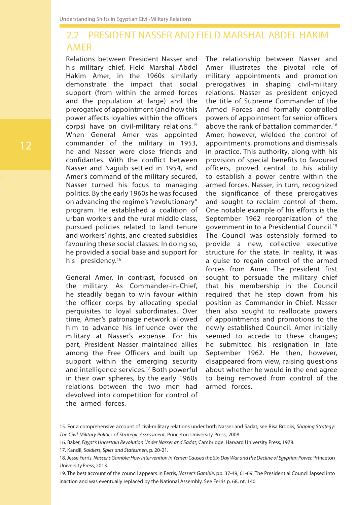Understanding Shifts in Egyptian Civil-Military Relations

## 2.2 PRESIDENT NASSER AND FIELD MARSHAL ABDEL HAKIM AMER

Relations between President Nasser and his military chief, Field Marshal Abdel Hakim Amer, in the 1960s similarly demonstrate the impact that social support (from within the armed forces and the population at large) and the prerogative of appointment (and how this power affects loyalties within the officers corps) have on civil-military relations.<sup>15</sup> When General Amer was appointed commander of the military in 1953, he and Nasser were close friends and confidantes. With the conflict between Nasser and Naguib settled in 1954, and Amer's command of the military secured, Nasser turned his focus to managing politics. By the early 1960s he was focused on advancing the regime's "revolutionary" program. He established a coalition of urban workers and the rural middle class, pursued policies related to land tenure and workers' rights, and created subsidies favouring these social classes. In doing so, he provided a social base and support for his presidency.<sup>16</sup>

General Amer, in contrast, focused on the military. As Commander-in-Chief, he steadily began to win favour within the officer corps by allocating special perquisites to loyal subordinates. Over time, Amer's patronage network allowed him to advance his influence over the military at Nasser's expense. For his part, President Nasser maintained allies among the Free Officers and built up support within the emerging security and intelligence services.17 Both powerful in their own spheres, by the early 1960s relations between the two men had devolved into competition for control of the armed forces.

The relationship between Nasser and Amer illustrates the pivotal role of military appointments and promotion prerogatives in shaping civil-military relations. Nasser as president enjoyed the title of Supreme Commander of the Armed Forces and formally controlled powers of appointment for senior officers above the rank of battalion commander.18 Amer, however, wielded the control of appointments, promotions and dismissals in practice. This authority, along with his provision of special benefits to favoured officers, proved central to his ability to establish a power centre within the armed forces. Nasser, in turn, recognized the significance of these prerogatives and sought to reclaim control of them. One notable example of his efforts is the September 1962 reorganization of the government in to a Presidential Council.19 The Council was ostensibly formed to provide a new, collective executive structure for the state. In reality, it was a guise to regain control of the armed forces from Amer. The president first sought to persuade the military chief that his membership in the Council required that he step down from his position as Commander-in-Chief. Nasser then also sought to reallocate powers of appointments and promotions to the newly established Council. Amer initially seemed to accede to these changes; he submitted his resignation in late September 1962. He then, however, disappeared from view, raising questions about whether he would in the end agree to being removed from control of the armed forces.

<sup>15.</sup> For a comprehensive account of civil-military relations under both Nasser and Sadat, see Risa Brooks, *Shaping Strategy: The Civil-Military Politics of Strategic Assessment*, Princeton University Press, 2008.

<sup>16.</sup> Baker, *Egypt's Uncertain Revolution Under Nasser and Sadat*, Cambridge: Harvard University Press, 1978.

<sup>17.</sup> Kandil, *Soldiers, Spies and Statesmen*, p. 20-21.

<sup>18.</sup> Jesse Ferris, *Nasser's Gamble: How Intervention in Yemen Caused the Six-Day War and the Decline of Egyptian Power,* Princeton University Press, 2013.

<sup>19.</sup> The best account of the council appears in Ferris, *Nasser's Gamble*, pp. 37-49, 61-69. The Presidential Council lapsed into inaction and was eventually replaced by the National Assembly. See Ferris p. 68, nt. 140.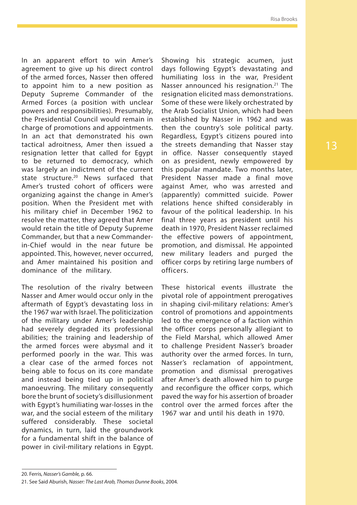In an apparent effort to win Amer's agreement to give up his direct control of the armed forces, Nasser then offered to appoint him to a new position as Deputy Supreme Commander of the Armed Forces (a position with unclear powers and responsibilities). Presumably, the Presidential Council would remain in charge of promotions and appointments. In an act that demonstrated his own tactical adroitness, Amer then issued a resignation letter that called for Egypt to be returned to democracy, which was largely an indictment of the current state structure.20 News surfaced that Amer's trusted cohort of officers were organizing against the change in Amer's position. When the President met with his military chief in December 1962 to resolve the matter, they agreed that Amer would retain the title of Deputy Supreme Commander, but that a new Commanderin-Chief would in the near future be appointed. This, however, never occurred, and Amer maintained his position and dominance of the military.

The resolution of the rivalry between Nasser and Amer would occur only in the aftermath of Egypt's devastating loss in the 1967 war with Israel. The politicization of the military under Amer's leadership had severely degraded its professional abilities; the training and leadership of the armed forces were abysmal and it performed poorly in the war. This was a clear case of the armed forces not being able to focus on its core mandate and instead being tied up in political manoeuvring. The military consequently bore the brunt of society's disillusionment with Egypt's humiliating war-losses in the war, and the social esteem of the military suffered considerably. These societal dynamics, in turn, laid the groundwork for a fundamental shift in the balance of power in civil-military relations in Egypt.

Showing his strategic acumen, just days following Egypt's devastating and humiliating loss in the war, President Nasser announced his resignation.<sup>21</sup> The resignation elicited mass demonstrations. Some of these were likely orchestrated by the Arab Socialist Union, which had been established by Nasser in 1962 and was then the country's sole political party. Regardless, Egypt's citizens poured into the streets demanding that Nasser stay in office. Nasser consequently stayed on as president, newly empowered by this popular mandate. Two months later, President Nasser made a final move against Amer, who was arrested and (apparently) committed suicide. Power relations hence shifted considerably in favour of the political leadership. In his final three years as president until his death in 1970, President Nasser reclaimed the effective powers of appointment, promotion, and dismissal. He appointed new military leaders and purged the officer corps by retiring large numbers of officers.

These historical events illustrate the pivotal role of appointment prerogatives in shaping civil-military relations: Amer's control of promotions and appointments led to the emergence of a faction within the officer corps personally allegiant to the Field Marshal, which allowed Amer to challenge President Nasser's broader authority over the armed forces. In turn, Nasser's reclamation of appointment, promotion and dismissal prerogatives after Amer's death allowed him to purge and reconfigure the officer corps, which paved the way for his assertion of broader control over the armed forces after the 1967 war and until his death in 1970.

<sup>20.</sup> Ferris, *Nasser's Gamble,* p. 66.

<sup>21.</sup> See Said Aburish, *Nasser: The Last Arab, Thomas Dunne Books*, 2004.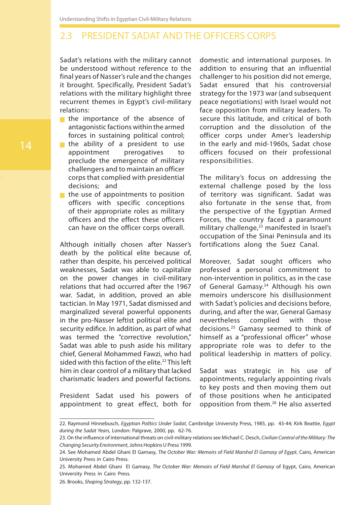Understanding Shifts in Egyptian Civil-Military Relations

## 2.3 PRESIDENT SADAT AND THE OFFICERS CORPS

Sadat's relations with the military cannot be understood without reference to the final years of Nasser's rule and the changes it brought. Specifically, President Sadat's relations with the military highlight three recurrent themes in Egypt's civil-military relations:

- the importance of the absence of antagonistic factions within the armed forces in sustaining political control;
- **the ability of a president to use** appointment prerogatives to preclude the emergence of military challengers and to maintain an officer corps that complied with presidential decisions; and
- $\blacksquare$  the use of appointments to position officers with specific conceptions of their appropriate roles as military officers and the effect these officers can have on the officer corps overall.

Although initially chosen after Nasser's death by the political elite because of, rather than despite, his perceived political weaknesses, Sadat was able to capitalize on the power changes in civil-military relations that had occurred after the 1967 war. Sadat, in addition, proved an able tactician. In May 1971, Sadat dismissed and marginalized several powerful opponents in the pro-Nasser leftist political elite and security edifice. In addition, as part of what was termed the "corrective revolution," Sadat was able to push aside his military chief, General Mohammed Fawzi, who had sided with this faction of the elite.<sup>22</sup> This left him in clear control of a military that lacked charismatic leaders and powerful factions.

President Sadat used his powers of appointment to great effect, both for domestic and international purposes. In addition to ensuring that an influential challenger to his position did not emerge, Sadat ensured that his controversial strategy for the 1973 war (and subsequent peace negotiations) with Israel would not face opposition from military leaders. To secure this latitude, and critical of both corruption and the dissolution of the officer corps under Amer's leadership in the early and mid-1960s, Sadat chose officers focused on their professional responsibilities.

The military's focus on addressing the external challenge posed by the loss of territory was significant. Sadat was also fortunate in the sense that, from the perspective of the Egyptian Armed Forces, the country faced a paramount military challenge,<sup>23</sup> manifested in Israel's occupation of the Sinai Peninsula and its fortifications along the Suez Canal.

Moreover, Sadat sought officers who professed a personal commitment to non-intervention in politics, as in the case of General Gamasy.<sup>24</sup> Although his own memoirs underscore his disillusionment with Sadat's policies and decisions before, during, and after the war, General Gamasy nevertheless complied with those decisions.25 Gamasy seemed to think of himself as a "professional officer" whose appropriate role was to defer to the political leadership in matters of policy.

Sadat was strategic in his use of appointments, regularly appointing rivals to key posts and then moving them out of those positions when he anticipated opposition from them.26 He also asserted

<sup>22.</sup> Raymond Hinnebusch, *Egyptian Politics Under Sadat*, Cambridge University Press, 1985, pp. 43-44; Kirk Beattie, *Egypt during the Sadat Years*, London: Palgrave, 2000, pp. 62-76.

<sup>23.</sup> On the influence of international threats on civil-military relations see Michael C. Desch, *Civilian Control of the Military: The Changing Security Environment*, Johns Hopkins U Press 1999.

<sup>24.</sup> See Mohamed Abdel Ghani El Gamasy, *The October War: Memoirs of Field Marshal El Gamasy of Egypt*, Cairo, American University Press in Cairo Press.

<sup>25.</sup> Mohamed Abdel Ghani El Gamasy, *The October War: Memoirs of Field Marshal El Gamasy* of Egypt, Cairo, American University Press in Cairo Press.

<sup>26.</sup> Brooks, *Shaping Strategy*, pp. 132-137.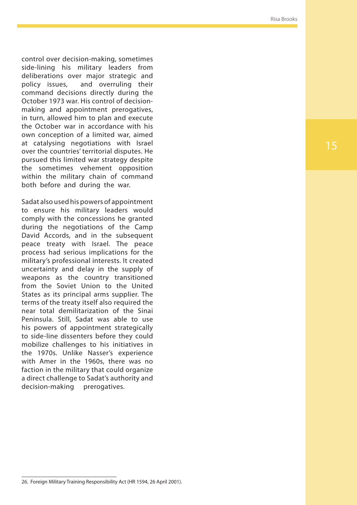control over decision-making, sometimes side-lining his military leaders from deliberations over major strategic and policy issues, and overruling their command decisions directly during the October 1973 war. His control of decisionmaking and appointment prerogatives, in turn, allowed him to plan and execute the October war in accordance with his own conception of a limited war, aimed at catalysing negotiations with Israel over the countries' territorial disputes. He pursued this limited war strategy despite the sometimes vehement opposition within the military chain of command both before and during the war.

Sadat also used his powers of appointment to ensure his military leaders would comply with the concessions he granted during the negotiations of the Camp David Accords, and in the subsequent peace treaty with Israel. The peace process had serious implications for the military's professional interests. It created uncertainty and delay in the supply of weapons as the country transitioned from the Soviet Union to the United States as its principal arms supplier. The terms of the treaty itself also required the near total demilitarization of the Sinai Peninsula. Still, Sadat was able to use his powers of appointment strategically to side-line dissenters before they could mobilize challenges to his initiatives in the 1970s. Unlike Nasser's experience with Amer in the 1960s, there was no faction in the military that could organize a direct challenge to Sadat's authority and decision-making prerogatives.

15

26. Foreign Military Training Responsibility Act (HR 1594, 26 April 2001).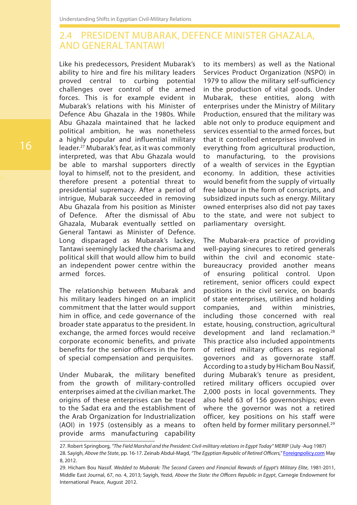## 2.4 PRESIDENT MUBARAK, DEFENCE MINISTER GHAZALA, AND GENERAL TANTAWI

Like his predecessors, President Mubarak's ability to hire and fire his military leaders proved central to curbing potential challenges over control of the armed forces. This is for example evident in Mubarak's relations with his Minister of Defence Abu Ghazala in the 1980s. While Abu Ghazala maintained that he lacked political ambition, he was nonetheless a highly popular and influential military leader.27 Mubarak's fear, as it was commonly interpreted, was that Abu Ghazala would be able to marshal supporters directly loyal to himself, not to the president, and therefore present a potential threat to presidential supremacy. After a period of intrigue, Mubarak succeeded in removing Abu Ghazala from his position as Minister of Defence. After the dismissal of Abu Ghazala, Mubarak eventually settled on General Tantawi as Minister of Defence. Long disparaged as Mubarak's lackey, Tantawi seemingly lacked the charisma and political skill that would allow him to build an independent power centre within the armed forces.

The relationship between Mubarak and his military leaders hinged on an implicit commitment that the latter would support him in office, and cede governance of the broader state apparatus to the president. In exchange, the armed forces would receive corporate economic benefits, and private benefits for the senior officers in the form of special compensation and perquisites.

Under Mubarak, the military benefited from the growth of military-controlled enterprises aimed at the civilian market. The origins of these enterprises can be traced to the Sadat era and the establishment of the Arab Organization for Industrialization (AOI) in 1975 (ostensibly as a means to provide arms manufacturing capability to its members) as well as the National Services Product Organization (NSPO) in 1979 to allow the military self-sufficiency in the production of vital goods. Under Mubarak, these entities, along with enterprises under the Ministry of Military Production, ensured that the military was able not only to produce equipment and services essential to the armed forces, but that it controlled enterprises involved in everything from agricultural production, to manufacturing, to the provisions of a wealth of services in the Egyptian economy. In addition, these activities would benefit from the supply of virtually free labour in the form of conscripts, and subsidized inputs such as energy. Military owned enterprises also did not pay taxes to the state, and were not subject to parliamentary oversight.

The Mubarak-era practice of providing well-paying sinecures to retired generals within the civil and economic statebureaucracy provided another means of ensuring political control. Upon retirement, senior officers could expect positions in the civil service, on boards of state enterprises, utilities and holding companies, and within ministries, including those concerned with real estate, housing, construction, agricultural development and land reclamation.28 This practice also included appointments of retired military officers as regional governors and as governorate staff. According to a study by Hicham Bou Nassif, during Mubarak's tenure as president, retired military officers occupied over 2,000 posts in local governments. They also held 63 of 156 governorships; even where the governor was not a retired officer, key positions on his staff were often held by former military personnel.<sup>29</sup>

<sup>27.</sup> Robert Springborg, *"The Field Marshal and the President: Civil-military relations in Egypt Today"* MERIP (July -Aug 1987) 28. Sayigh, *Above the State*, pp. 16-17. Zeinab Abdul-Magd, *"The Egyptian Republic of Retired Officers,"* <Foreignpolicy.com>May 8, 2012.

<sup>29.</sup> Hicham Bou Nassif. *Wedded to Mubarak: The Second Careers and Financial Rewards of Egypt's Military Elite*, 1981-2011, Middle East Journal, 67, no. 4, 2013; Sayigh, Yezid, *Above the State: the Officers Republic in Egypt*, Carnegie Endowment for International Peace, August 2012.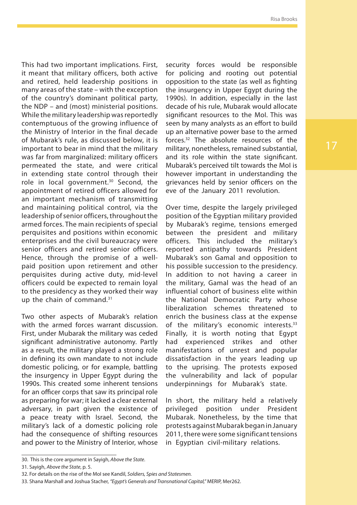This had two important implications. First, it meant that military officers, both active and retired, held leadership positions in many areas of the state – with the exception of the country's dominant political party, the NDP – and (most) ministerial positions. While the military leadership was reportedly contemptuous of the growing influence of the Ministry of Interior in the final decade of Mubarak's rule, as discussed below, it is important to bear in mind that the military was far from marginalized: military officers permeated the state, and were critical in extending state control through their role in local government.<sup>30</sup> Second, the appointment of retired officers allowed for an important mechanism of transmitting and maintaining political control, via the leadership of senior officers, throughout the armed forces. The main recipients of special perquisites and positions within economic enterprises and the civil bureaucracy were senior officers and retired senior officers. Hence, through the promise of a wellpaid position upon retirement and other perquisites during active duty, mid-level officers could be expected to remain loyal to the presidency as they worked their way up the chain of command.31

Two other aspects of Mubarak's relation with the armed forces warrant discussion. First, under Mubarak the military was ceded significant administrative autonomy. Partly as a result, the military played a strong role in defining its own mandate to not include domestic policing, or for example, battling the insurgency in Upper Egypt during the 1990s. This created some inherent tensions for an officer corps that saw its principal role as preparing for war; it lacked a clear external adversary, in part given the existence of a peace treaty with Israel. Second, the military's lack of a domestic policing role had the consequence of shifting resources and power to the Ministry of Interior, whose security forces would be responsible for policing and rooting out potential opposition to the state (as well as fighting the insurgency in Upper Egypt during the 1990s). In addition, especially in the last decade of his rule, Mubarak would allocate significant resources to the MoI. This was seen by many analysts as an effort to build up an alternative power base to the armed forces.32 The absolute resources of the military, nonetheless, remained substantial, and its role within the state significant. Mubarak's perceived tilt towards the MoI is however important in understanding the grievances held by senior officers on the eve of the January 2011 revolution.

Over time, despite the largely privileged position of the Egyptian military provided by Mubarak's regime, tensions emerged between the president and military officers. This included the military's reported antipathy towards President Mubarak's son Gamal and opposition to his possible succession to the presidency. In addition to not having a career in the military, Gamal was the head of an influential cohort of business elite within the National Democratic Party whose liberalization schemes threatened to enrich the business class at the expense of the military's economic interests.<sup>33</sup> Finally, it is worth noting that Egypt had experienced strikes and other manifestations of unrest and popular dissatisfaction in the years leading up to the uprising. The protests exposed the vulnerability and lack of popular underpinnings for Mubarak's state.

In short, the military held a relatively privileged position under President Mubarak. Nonetheless, by the time that protests against Mubarak began in January 2011, there were some significant tensions in Egyptian civil-military relations.

<sup>30.</sup> This is the core argument in Sayigh, *Above the State*.

<sup>31.</sup> Sayigh, *Above the State*, p. 5.

<sup>32.</sup> For details on the rise of the MoI see Kandil, *Soldiers, Spies and Statesmen.*

<sup>33.</sup> Shana Marshall and Joshua Stacher, *"Egypt's Generals and Transnational Capital,"* MERIP, Mer262.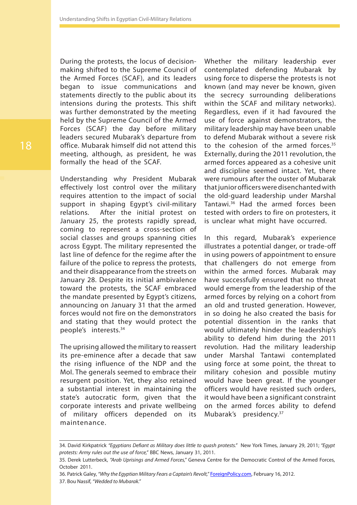During the protests, the locus of decisionmaking shifted to the Supreme Council of the Armed Forces (SCAF), and its leaders began to issue communications and statements directly to the public about its intensions during the protests. This shift was further demonstrated by the meeting held by the Supreme Council of the Armed Forces (SCAF) the day before military leaders secured Mubarak's departure from office. Mubarak himself did not attend this meeting, although, as president, he was formally the head of the SCAF.

Understanding why President Mubarak effectively lost control over the military requires attention to the impact of social support in shaping Egypt's civil-military relations. After the initial protest on January 25, the protests rapidly spread, coming to represent a cross-section of social classes and groups spanning cities across Egypt. The military represented the last line of defence for the regime after the failure of the police to repress the protests, and their disappearance from the streets on January 28. Despite its initial ambivalence toward the protests, the SCAF embraced the mandate presented by Egypt's citizens, announcing on January 31 that the armed forces would not fire on the demonstrators and stating that they would protect the people's interests.34

The uprising allowed the military to reassert its pre-eminence after a decade that saw the rising influence of the NDP and the MoI. The generals seemed to embrace their resurgent position. Yet, they also retained a substantial interest in maintaining the state's autocratic form, given that the corporate interests and private wellbeing of military officers depended on its maintenance.

Whether the military leadership ever contemplated defending Mubarak by using force to disperse the protests is not known (and may never be known, given the secrecy surrounding deliberations within the SCAF and military networks). Regardless, even if it had favoured the use of force against demonstrators, the military leadership may have been unable to defend Mubarak without a severe risk to the cohesion of the armed forces.<sup>35</sup> Externally, during the 2011 revolution, the armed forces appeared as a cohesive unit and discipline seemed intact. Yet, there were rumours after the ouster of Mubarak that junior officers were disenchanted with the old-guard leadership under Marshal Tantawi.36 Had the armed forces been tested with orders to fire on protesters, it is unclear what might have occurred.

In this regard, Mubarak's experience illustrates a potential danger, or trade-off in using powers of appointment to ensure that challengers do not emerge from within the armed forces. Mubarak may have successfully ensured that no threat would emerge from the leadership of the armed forces by relying on a cohort from an old and trusted generation. However, in so doing he also created the basis for potential dissention in the ranks that would ultimately hinder the leadership's ability to defend him during the 2011 revolution. Had the military leadership under Marshal Tantawi contemplated using force at some point, the threat to military cohesion and possible mutiny would have been great. If the younger officers would have resisted such orders, it would have been a significant constraint on the armed forces ability to defend Mubarak's presidency.<sup>37</sup>

36. Patrick Galey, *"Why the Egyptian Military Fears a Captain's Revolt,"* <ForeignPolicy.com>, February 16, 2012. 37. Bou Nassif, *"Wedded to Mubarak."*

<sup>34.</sup> David Kirkpatrick *"Egyptians Defiant as Military does little to quash protests."* New York Times, January 29, 2011; *"Egypt protests: Army rules out the use of force,"* BBC News, January 31, 2011.

<sup>35.</sup> Derek Lutterbeck, *"Arab Uprisings and Armed Forces,"* Geneva Centre for the Democratic Control of the Armed Forces, October 2011.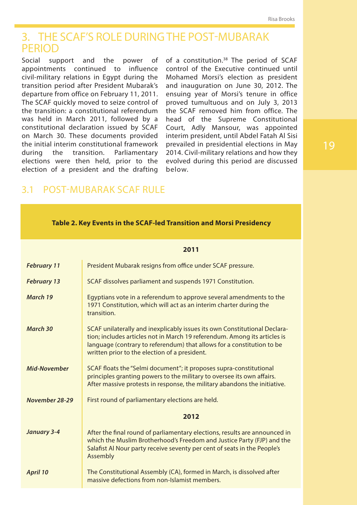Risa Brooks

## 3. THE SCAF'S ROLE DURING THE POST-MUBARAK **PFRIOD**

Social support and the power of appointments continued to influence civil-military relations in Egypt during the transition period after President Mubarak's departure from office on February 11, 2011. The SCAF quickly moved to seize control of the transition: a constitutional referendum was held in March 2011, followed by a constitutional declaration issued by SCAF on March 30. These documents provided the initial interim constitutional framework during the transition. Parliamentary elections were then held, prior to the election of a president and the drafting

of a constitution.38 The period of SCAF control of the Executive continued until Mohamed Morsi's election as president and inauguration on June 30, 2012. The ensuing year of Morsi's tenure in office proved tumultuous and on July 3, 2013 the SCAF removed him from office. The head of the Supreme Constitutional Court, Adly Mansour, was appointed interim president, until Abdel Fatah Al Sisi prevailed in presidential elections in May 2014. Civil-military relations and how they evolved during this period are discussed below.

## 3.1 POST-MUBARAK SCAF RULE

|                     | 2011                                                                                                                                                                                                                                                                              |  |  |  |  |
|---------------------|-----------------------------------------------------------------------------------------------------------------------------------------------------------------------------------------------------------------------------------------------------------------------------------|--|--|--|--|
| <b>February 11</b>  | President Mubarak resigns from office under SCAF pressure.                                                                                                                                                                                                                        |  |  |  |  |
| <b>February 13</b>  | SCAF dissolves parliament and suspends 1971 Constitution.                                                                                                                                                                                                                         |  |  |  |  |
| March 19            | Egyptians vote in a referendum to approve several amendments to the<br>1971 Constitution, which will act as an interim charter during the<br>transition.                                                                                                                          |  |  |  |  |
| March 30            | SCAF unilaterally and inexplicably issues its own Constitutional Declara-<br>tion; includes articles not in March 19 referendum. Among its articles is<br>language (contrary to referendum) that allows for a constitution to be<br>written prior to the election of a president. |  |  |  |  |
| <b>Mid-November</b> | SCAF floats the "Selmi document"; it proposes supra-constitutional<br>principles granting powers to the military to oversee its own affairs.<br>After massive protests in response, the military abandons the initiative.                                                         |  |  |  |  |
| November 28-29      | First round of parliamentary elections are held.                                                                                                                                                                                                                                  |  |  |  |  |
|                     | 2012                                                                                                                                                                                                                                                                              |  |  |  |  |
| <b>January 3-4</b>  | After the final round of parliamentary elections, results are announced in<br>which the Muslim Brotherhood's Freedom and Justice Party (FJP) and the<br>Salafist Al Nour party receive seventy per cent of seats in the People's<br>Assembly                                      |  |  |  |  |
| April 10            | The Constitutional Assembly (CA), formed in March, is dissolved after<br>massive defections from non-Islamist members.                                                                                                                                                            |  |  |  |  |

#### **Table 2. Key Events in the SCAF-led Transition and Morsi Presidency**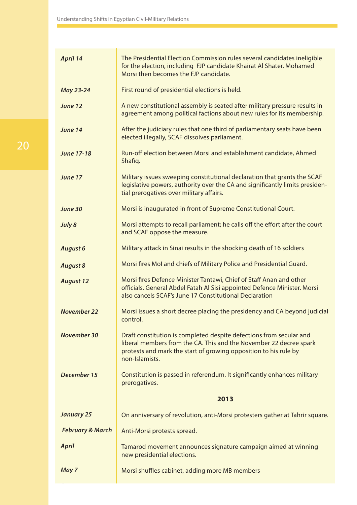| April 14                    | The Presidential Election Commission rules several candidates ineligible<br>for the election, including FJP candidate Khairat Al Shater. Mohamed<br>Morsi then becomes the FJP candidate.                                       |  |  |
|-----------------------------|---------------------------------------------------------------------------------------------------------------------------------------------------------------------------------------------------------------------------------|--|--|
| <b>May 23-24</b>            | First round of presidential elections is held.                                                                                                                                                                                  |  |  |
| June 12                     | A new constitutional assembly is seated after military pressure results in<br>agreement among political factions about new rules for its membership.                                                                            |  |  |
| June 14                     | After the judiciary rules that one third of parliamentary seats have been<br>elected illegally, SCAF dissolves parliament.                                                                                                      |  |  |
| <b>June 17-18</b>           | Run-off election between Morsi and establishment candidate, Ahmed<br>Shafiq.                                                                                                                                                    |  |  |
| June 17                     | Military issues sweeping constitutional declaration that grants the SCAF<br>legislative powers, authority over the CA and significantly limits presiden-<br>tial prerogatives over military affairs.                            |  |  |
| June 30                     | Morsi is inaugurated in front of Supreme Constitutional Court.                                                                                                                                                                  |  |  |
| July 8                      | Morsi attempts to recall parliament; he calls off the effort after the court<br>and SCAF oppose the measure.                                                                                                                    |  |  |
| <b>August 6</b>             | Military attack in Sinai results in the shocking death of 16 soldiers                                                                                                                                                           |  |  |
| <b>August 8</b>             | Morsi fires Mol and chiefs of Military Police and Presidential Guard.                                                                                                                                                           |  |  |
| <b>August 12</b>            | Morsi fires Defence Minister Tantawi, Chief of Staff Anan and other<br>officials. General Abdel Fatah Al Sisi appointed Defence Minister. Morsi<br>also cancels SCAF's June 17 Constitutional Declaration                       |  |  |
| <b>November 22</b>          | Morsi issues a short decree placing the presidency and CA beyond judicial<br>control.                                                                                                                                           |  |  |
| <b>November 30</b>          | Draft constitution is completed despite defections from secular and<br>liberal members from the CA. This and the November 22 decree spark<br>protests and mark the start of growing opposition to his rule by<br>non-Islamists. |  |  |
| December 15                 | Constitution is passed in referendum. It significantly enhances military<br>prerogatives.                                                                                                                                       |  |  |
|                             | 2013                                                                                                                                                                                                                            |  |  |
| <b>January 25</b>           | On anniversary of revolution, anti-Morsi protesters gather at Tahrir square.                                                                                                                                                    |  |  |
| <b>February &amp; March</b> | Anti-Morsi protests spread.                                                                                                                                                                                                     |  |  |
| <b>April</b>                | Tamarod movement announces signature campaign aimed at winning<br>new presidential elections.                                                                                                                                   |  |  |
| May 7                       | Morsi shuffles cabinet, adding more MB members                                                                                                                                                                                  |  |  |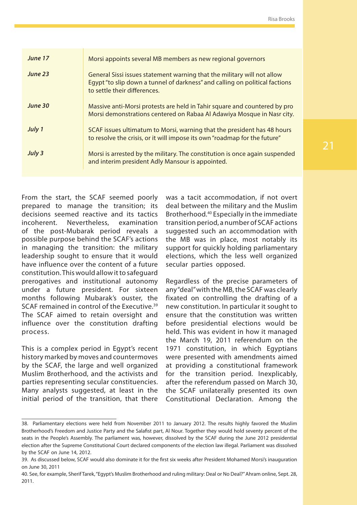| June 17        | Morsi appoints several MB members as new regional governors                                                                                                                            |  |  |
|----------------|----------------------------------------------------------------------------------------------------------------------------------------------------------------------------------------|--|--|
| <b>June 23</b> | General Sissi issues statement warning that the military will not allow<br>Egypt "to slip down a tunnel of darkness" and calling on political factions<br>to settle their differences. |  |  |
| <b>June 30</b> | Massive anti-Morsi protests are held in Tahir square and countered by pro<br>Morsi demonstrations centered on Rabaa Al Adawiya Mosque in Nasr city.                                    |  |  |
| July 1         | SCAF issues ultimatum to Morsi, warning that the president has 48 hours<br>to resolve the crisis, or it will impose its own "roadmap for the future"                                   |  |  |
| July 3         | Morsi is arrested by the military. The constitution is once again suspended<br>and interim president Adly Mansour is appointed.                                                        |  |  |

new presidential elections.

From the start, the SCAF seemed poorly prepared to manage the transition; its decisions seemed reactive and its tactics incoherent. Nevertheless, examination of the post-Mubarak period reveals a possible purpose behind the SCAF's actions in managing the transition: the military leadership sought to ensure that it would have influence over the content of a future constitution. This would allow it to safeguard prerogatives and institutional autonomy under a future president. For sixteen months following Mubarak's ouster, the SCAF remained in control of the Executive.<sup>39</sup> The SCAF aimed to retain oversight and influence over the constitution drafting process.

This is a complex period in Egypt's recent history marked by moves and countermoves by the SCAF, the large and well organized Muslim Brotherhood, and the activists and parties representing secular constituencies. Many analysts suggested, at least in the initial period of the transition, that there

was a tacit accommodation, if not overt deal between the military and the Muslim Brotherhood.40 Especially in the immediate transition period, a number of SCAF actions suggested such an accommodation with the MB was in place, most notably its support for quickly holding parliamentary elections, which the less well organized secular parties opposed.

Regardless of the precise parameters of any "deal" with the MB, the SCAF was clearly fixated on controlling the drafting of a new constitution. In particular it sought to ensure that the constitution was written before presidential elections would be held. This was evident in how it managed the March 19, 2011 referendum on the 1971 constitution, in which Egyptians were presented with amendments aimed at providing a constitutional framework for the transition period. Inexplicably, after the referendum passed on March 30, the SCAF unilaterally presented its own Constitutional Declaration. Among the

<sup>38.</sup> Parliamentary elections were held from November 2011 to January 2012. The results highly favored the Muslim Brotherhood's Freedom and Justice Party and the Salafist part, Al Nour. Together they would hold seventy percent of the seats in the People's Assembly. The parliament was, however, dissolved by the SCAF during the June 2012 presidential election after the Supreme Constitutional Court declared components of the election law illegal. Parliament was dissolved by the SCAF on June 14, 2012.

<sup>39.</sup> As discussed below, SCAF would also dominate it for the first six weeks after President Mohamed Morsi's inauguration on June 30, 2011

<sup>40.</sup> See, for example, Sherif Tarek, "Egypt's Muslim Brotherhood and ruling military: Deal or No Deal?" Ahram online, Sept. 28, 2011.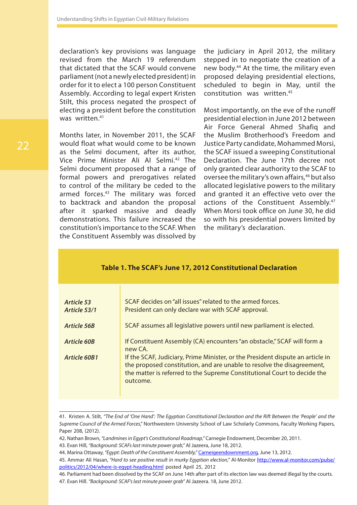declaration's key provisions was language revised from the March 19 referendum that dictated that the SCAF would convene parliament (not a newly elected president) in order for it to elect a 100 person Constituent Assembly. According to legal expert Kristen Stilt, this process negated the prospect of electing a president before the constitution was written.<sup>41</sup>

Months later, in November 2011, the SCAF would float what would come to be known as the Selmi document, after its author, Vice Prime Minister Ali Al Selmi.42 The Selmi document proposed that a range of formal powers and prerogatives related to control of the military be ceded to the armed forces.<sup>43</sup> The military was forced to backtrack and abandon the proposal after it sparked massive and deadly demonstrations. This failure increased the constitution's importance to the SCAF. When the Constituent Assembly was dissolved by

the judiciary in April 2012, the military stepped in to negotiate the creation of a new body.44 At the time, the military even proposed delaying presidential elections, scheduled to begin in May, until the constitution was written.45

Most importantly, on the eve of the runoff presidential election in June 2012 between Air Force General Ahmed Shafiq and the Muslim Brotherhood's Freedom and Justice Party candidate, Mohammed Morsi, the SCAF issued a sweeping Constitutional Declaration. The June 17th decree not only granted clear authority to the SCAF to oversee the military's own affairs,<sup>46</sup> but also allocated legislative powers to the military and granted it an effective veto over the actions of the Constituent Assembly.<sup>47</sup> When Morsi took office on June 30, he did so with his presidential powers limited by the military's declaration.

| Table 1. The SCAF's June 17, 2012 Constitutional Declaration |                                                                                                                                                                                                                                                  |  |  |  |  |  |
|--------------------------------------------------------------|--------------------------------------------------------------------------------------------------------------------------------------------------------------------------------------------------------------------------------------------------|--|--|--|--|--|
|                                                              |                                                                                                                                                                                                                                                  |  |  |  |  |  |
| Article 53                                                   | SCAF decides on "all issues" related to the armed forces.                                                                                                                                                                                        |  |  |  |  |  |
| Article 53/1                                                 | President can only declare war with SCAF approval.                                                                                                                                                                                               |  |  |  |  |  |
|                                                              |                                                                                                                                                                                                                                                  |  |  |  |  |  |
| Article 56B                                                  | SCAF assumes all legislative powers until new parliament is elected.                                                                                                                                                                             |  |  |  |  |  |
| Article 60B                                                  | If Constituent Assembly (CA) encounters "an obstacle," SCAF will form a<br>new CA.                                                                                                                                                               |  |  |  |  |  |
| Article 60B1                                                 | If the SCAF, Judiciary, Prime Minister, or the President dispute an article in<br>the proposed constitution, and are unable to resolve the disagreement,<br>the matter is referred to the Supreme Constitutional Court to decide the<br>outcome. |  |  |  |  |  |
|                                                              |                                                                                                                                                                                                                                                  |  |  |  |  |  |

<sup>41.</sup> Kristen A. Stilt, *"The End of 'One Hand': The Egyptian Constitutional Declaration and the Rift Between the 'People' and the Supreme Council of the Armed Forces*," Northwestern University School of Law Scholarly Commons, Faculty Working Papers, Paper 208, (2012).

<sup>42.</sup> Nathan Brown, *"Landmines in Egypt's Constitutional Roadmap,"* Carnegie Endowment, December 20, 2011.

<sup>43.</sup> Evan Hill, *"Background: SCAFs last minute power grab,"* Al Jazeera, June 18, 2012.

<sup>44.</sup> Marina Ottaway, *"Egypt: Death of the Constituent Assembly,"* <Carneigeendownment.org>, June 13, 2012.

<sup>45.</sup> Ammar Ali Hasan, *"Hard to see positive result in murky Egyptian election,"* Al-Monitor [http://www.al-monitor.com/pulse/](http://www.al-monitor.com/pulse/politics/2012/04/where-is-egypt-heading.html) [politics/2012/04/where-is-egypt-heading.html](http://www.al-monitor.com/pulse/politics/2012/04/where-is-egypt-heading.html) posted April 25, 2012

<sup>46.</sup> Parliament had been dissolved by the SCAF on June 14th after part of its election law was deemed illegal by the courts. 47. Evan Hill. *"Background: SCAF's last minute power grab"* Al Jazeera. 18, June 2012.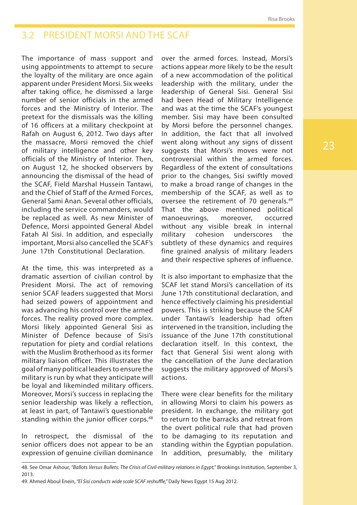## 3.2 PRESIDENT MORSI AND THE SCAF

The importance of mass support and using appointments to attempt to secure the loyalty of the military are once again apparent under President Morsi. Six weeks after taking office, he dismissed a large number of senior officials in the armed forces and the Ministry of Interior. The pretext for the dismissals was the killing of 16 officers at a military checkpoint at Rafah on August 6, 2012. Two days after the massacre, Morsi removed the chief of military intelligence and other key officials of the Ministry of Interior. Then, on August 12, he shocked observers by announcing the dismissal of the head of the SCAF, Field Marshal Hussein Tantawi, and the Chief of Staff of the Armed Forces, General Sami Anan. Several other officials, including the service commanders, would be replaced as well. As new Minister of Defence, Morsi appointed General Abdel Fatah Al Sisi. In addition, and especially important, Morsi also cancelled the SCAF's June 17th Constitutional Declaration.

At the time, this was interpreted as a dramatic assertion of civilian control by President Morsi. The act of removing senior SCAF leaders suggested that Morsi had seized powers of appointment and was advancing his control over the armed forces. The reality proved more complex. Morsi likely appointed General Sisi as Minister of Defence because of Sisi's reputation for piety and cordial relations with the Muslim Brotherhood as its former military liaison officer. This illustrates the goal of many political leaders to ensure the military is run by what they anticipate will be loyal and likeminded military officers. Moreover, Morsi's success in replacing the senior leadership was likely a reflection, at least in part, of Tantawi's questionable standing within the junior officer corps.<sup>48</sup>

In retrospect, the dismissal of the senior officers does not appear to be an expression of genuine civilian dominance

over the armed forces. Instead, Morsi's actions appear more likely to be the result of a new accommodation of the political leadership with the military, under the leadership of General Sisi. General Sisi had been Head of Military Intelligence and was at the time the SCAF's youngest member. Sisi may have been consulted by Morsi before the personnel changes. In addition, the fact that all involved went along without any signs of dissent suggests that Morsi's moves were not controversial within the armed forces. Regardless of the extent of consultations prior to the changes, Sisi swiftly moved to make a broad range of changes in the membership of the SCAF, as well as to oversee the retirement of 70 generals.<sup>49</sup> That the above mentioned political manoeuvrings, moreover, occurred without any visible break in internal military cohesion underscores the subtlety of these dynamics and requires fine grained analysis of military leaders and their respective spheres of influence.

It is also important to emphasize that the SCAF let stand Morsi's cancellation of its June 17th constitutional declaration, and hence effectively claiming his presidential powers. This is striking because the SCAF under Tantawi's leadership had often intervened in the transition, including the issuance of the June 17th constitutional declaration itself. In this context, the fact that General Sisi went along with the cancellation of the June declaration suggests the military approved of Morsi's actions.

There were clear benefits for the military in allowing Morsi to claim his powers as president. In exchange, the military got to return to the barracks and retreat from the overt political rule that had proven to be damaging to its reputation and standing within the Egyptian population. In addition, presumably, the military

<sup>48.</sup> See Omar Ashour, *"Ballots Versus Bullets: The Crisis of Civil-military relations in Egypt,"* Brookings Institution, September 3, 2013.

<sup>49.</sup> Ahmed Aboul Enein, *"El Sisi conducts wide scale SCAF reshuffle,"* Daily News Egypt 15 Aug 2012.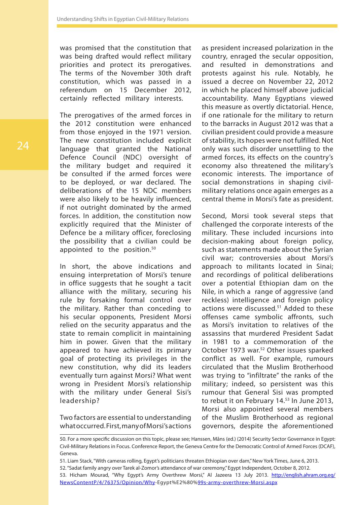was promised that the constitution that was being drafted would reflect military priorities and protect its prerogatives. The terms of the November 30th draft constitution, which was passed in a referendum on 15 December 2012, certainly reflected military interests.

The prerogatives of the armed forces in the 2012 constitution were enhanced from those enjoyed in the 1971 version. The new constitution included explicit language that granted the National Defence Council (NDC) oversight of the military budget and required it be consulted if the armed forces were to be deployed, or war declared. The deliberations of the 15 NDC members were also likely to be heavily influenced, if not outright dominated by the armed forces. In addition, the constitution now explicitly required that the Minister of Defence be a military officer, foreclosing the possibility that a civilian could be appointed to the position.<sup>50</sup>

In short, the above indications and ensuing interpretation of Morsi's tenure in office suggests that he sought a tacit alliance with the military, securing his rule by forsaking formal control over the military. Rather than conceding to his secular opponents, President Morsi relied on the security apparatus and the state to remain complicit in maintaining him in power. Given that the military appeared to have achieved its primary goal of protecting its privileges in the new constitution, why did its leaders eventually turn against Morsi? What went wrong in President Morsi's relationship with the military under General Sisi's leadership?

Two factors are essential to understanding what occurred. First, many of Morsi's actions as president increased polarization in the country, enraged the secular opposition, and resulted in demonstrations and protests against his rule. Notably, he issued a decree on November 22, 2012 in which he placed himself above judicial accountability. Many Egyptians viewed this measure as overtly dictatorial. Hence, if one rationale for the military to return to the barracks in August 2012 was that a civilian president could provide a measure of stability, its hopes were not fulfilled. Not only was such disorder unsettling to the armed forces, its effects on the country's economy also threatened the military's economic interests. The importance of social demonstrations in shaping civilmilitary relations once again emerges as a central theme in Morsi's fate as president.

Second, Morsi took several steps that challenged the corporate interests of the military. These included incursions into decision-making about foreign policy, such as statements made about the Syrian civil war; controversies about Morsi's approach to militants located in Sinai; and recordings of political deliberations over a potential Ethiopian dam on the Nile, in which a range of aggressive (and reckless) intelligence and foreign policy actions were discussed.<sup>51</sup> Added to these offenses came symbolic affronts, such as Morsi's invitation to relatives of the assassins that murdered President Sadat in 1981 to a commemoration of the October 1973 war.<sup>52</sup> Other issues sparked conflict as well. For example, rumours circulated that the Muslim Brotherhood was trying to "infiltrate" the ranks of the military; indeed, so persistent was this rumour that General Sisi was prompted to rebut it on February 14.<sup>53</sup> In June 2013, Morsi also appointed several members of the Muslim Brotherhood as regional governors, despite the aforementioned

<sup>50.</sup> For a more specific discussion on this topic, please see; Hanssen, Måns (ed.) (2014) Security Sector Governance in Egypt: Civil-Military Relations in Focus. Conference Report, the Geneva Centre for the Democratic Control of Armed Forces (DCAF), Geneva.

<sup>51.</sup> Liam Stack, "With cameras rolling, Egypt's politicians threaten Ethiopian over dam," New York Times, June 6, 2013.

<sup>52. &</sup>quot;Sadat family angry over Tarek al-Zomor's attendance of war ceremony," Egypt Independent, October 8, 2012.

<sup>53.</sup> Hicham Mourad, "Why Egypt's Army Overthrew Morsi," Al Jazeera 13 July 2013. [http://english.ahram.org.eg/](http://english.ahram.org.eg/NewsContentP/4/76375/Opinion/Why) [NewsContentP/4/76375/Opinion/Why](http://english.ahram.org.eg/NewsContentP/4/76375/Opinion/Why)-Egypt%E2%80%<99s-army-overthrew-Morsi.aspx>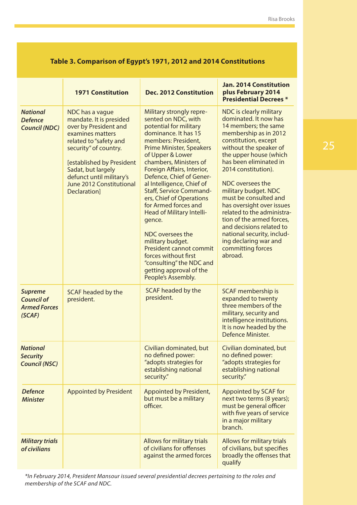#### **Table 3. Comparison of Egypt's 1971, 2012 and 2014 Constitutions**

|                                                                      | <b>1971 Constitution</b>                                                                                                                                                                                                                                              | <b>Dec. 2012 Constitution</b>                                                                                                                                                                                                                                                                                                                                                                                                                                                                                                                                                                                | <b>Jan. 2014 Constitution</b><br>plus February 2014<br><b>Presidential Decrees *</b>                                                                                                                                                                                                                                                                                                                                                                                                                           |
|----------------------------------------------------------------------|-----------------------------------------------------------------------------------------------------------------------------------------------------------------------------------------------------------------------------------------------------------------------|--------------------------------------------------------------------------------------------------------------------------------------------------------------------------------------------------------------------------------------------------------------------------------------------------------------------------------------------------------------------------------------------------------------------------------------------------------------------------------------------------------------------------------------------------------------------------------------------------------------|----------------------------------------------------------------------------------------------------------------------------------------------------------------------------------------------------------------------------------------------------------------------------------------------------------------------------------------------------------------------------------------------------------------------------------------------------------------------------------------------------------------|
| <b>National</b><br><b>Defence</b><br><b>Council (NDC)</b>            | NDC has a vague<br>mandate. It is presided<br>over by President and<br>examines matters<br>related to "safety and<br>security" of country.<br>[established by President<br>Sadat, but largely<br>defunct until military's<br>June 2012 Constitutional<br>Declaration] | Military strongly repre-<br>sented on NDC, with<br>potential for military<br>dominance. It has 15<br>members: President,<br><b>Prime Minister, Speakers</b><br>of Upper & Lower<br>chambers, Ministers of<br>Foreign Affairs, Interior,<br>Defence, Chief of Gener-<br>al Intelligence, Chief of<br><b>Staff, Service Command-</b><br>ers, Chief of Operations<br>for Armed forces and<br><b>Head of Military Intelli-</b><br>gence.<br>NDC oversees the<br>military budget.<br>President cannot commit<br>forces without first<br>"consulting" the NDC and<br>getting approval of the<br>People's Assembly. | NDC is clearly military<br>dominated. It now has<br>14 members; the same<br>membership as in 2012<br>constitution, except<br>without the speaker of<br>the upper house (which<br>has been eliminated in<br>2014 constitution).<br>NDC oversees the<br>military budget. NDC<br>must be consulted and<br>has oversight over issues<br>related to the administra-<br>tion of the armed forces,<br>and decisions related to<br>national security, includ-<br>ing declaring war and<br>committing forces<br>abroad. |
| <b>Supreme</b><br><b>Council of</b><br><b>Armed Forces</b><br>(SCAF) | <b>SCAF headed by the</b><br>president.                                                                                                                                                                                                                               | <b>SCAF headed by the</b><br>president.                                                                                                                                                                                                                                                                                                                                                                                                                                                                                                                                                                      | SCAF membership is<br>expanded to twenty<br>three members of the<br>military, security and<br>intelligence institutions.<br>It is now headed by the<br>Defence Minister.                                                                                                                                                                                                                                                                                                                                       |
| <b>National</b><br><b>Security</b><br><b>Council (NSC)</b>           |                                                                                                                                                                                                                                                                       | Civilian dominated, but<br>no defined power:<br>"adopts strategies for<br>establishing national<br>security."                                                                                                                                                                                                                                                                                                                                                                                                                                                                                                | Civilian dominated, but<br>no defined power:<br>"adopts strategies for<br>establishing national<br>security."                                                                                                                                                                                                                                                                                                                                                                                                  |
| <b>Defence</b><br><b>Minister</b>                                    | <b>Appointed by President</b>                                                                                                                                                                                                                                         | Appointed by President,<br>but must be a military<br>officer.                                                                                                                                                                                                                                                                                                                                                                                                                                                                                                                                                | Appointed by SCAF for<br>next two terms (8 years);<br>must be general officer<br>with five years of service<br>in a major military<br>branch.                                                                                                                                                                                                                                                                                                                                                                  |
| <b>Military trials</b><br>of civilians                               |                                                                                                                                                                                                                                                                       | Allows for military trials<br>of civilians for offenses<br>against the armed forces                                                                                                                                                                                                                                                                                                                                                                                                                                                                                                                          | Allows for military trials<br>of civilians, but specifies<br>broadly the offenses that<br>qualify                                                                                                                                                                                                                                                                                                                                                                                                              |

*\*In February 2014, President Mansour issued several presidential decrees pertaining to the roles and membership of the SCAF and NDC.*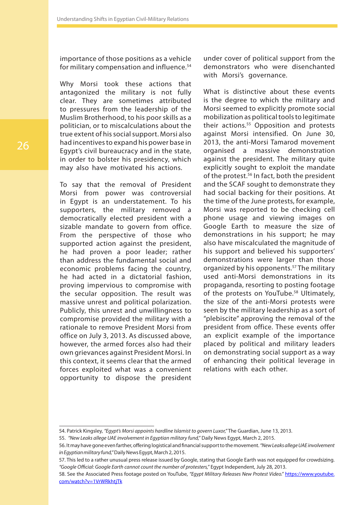importance of those positions as a vehicle for military compensation and influence.54

Why Morsi took these actions that antagonized the military is not fully clear. They are sometimes attributed to pressures from the leadership of the Muslim Brotherhood, to his poor skills as a politician, or to miscalculations about the true extent of his social support. Morsi also had incentives to expand his power base in Egypt's civil bureaucracy and in the state, in order to bolster his presidency, which may also have motivated his actions.

To say that the removal of President Morsi from power was controversial in Egypt is an understatement. To his supporters, the military removed a democratically elected president with a sizable mandate to govern from office. From the perspective of those who supported action against the president, he had proven a poor leader; rather than address the fundamental social and economic problems facing the country, he had acted in a dictatorial fashion, proving impervious to compromise with the secular opposition. The result was massive unrest and political polarization. Publicly, this unrest and unwillingness to compromise provided the military with a rationale to remove President Morsi from office on July 3, 2013. As discussed above, however, the armed forces also had their own grievances against President Morsi. In this context, it seems clear that the armed forces exploited what was a convenient opportunity to dispose the president

under cover of political support from the demonstrators who were disenchanted with Morsi's governance.

What is distinctive about these events is the degree to which the military and Morsi seemed to explicitly promote social mobilization as political tools to legitimate their actions.<sup>55</sup> Opposition and protests against Morsi intensified. On June 30, 2013, the anti-Morsi Tamarod movement organised a massive demonstration against the president. The military quite explicitly sought to exploit the mandate of the protest.<sup>56</sup> In fact, both the president and the SCAF sought to demonstrate they had social backing for their positions. At the time of the June protests, for example, Morsi was reported to be checking cell phone usage and viewing images on Google Earth to measure the size of demonstrations in his support; he may also have miscalculated the magnitude of his support and believed his supporters' demonstrations were larger than those organized by his opponents.<sup>57</sup> The military used anti-Morsi demonstrations in its propaganda, resorting to posting footage of the protests on YouTube.<sup>58</sup> Ultimately, the size of the anti-Morsi protests were seen by the military leadership as a sort of "plebiscite" approving the removal of the president from office. These events offer an explicit example of the importance placed by political and military leaders on demonstrating social support as a way of enhancing their political leverage in relations with each other.

<sup>54.</sup> Patrick Kingsley, *"Egypt's Morsi appoints hardline Islamist to govern Luxor,"* The Guardian, June 13, 2013.

<sup>55.</sup> *"New Leaks allege UAE involvement in Egyptian military fund,"* Daily News Egypt, March 2, 2015.

<sup>56.</sup> It may have gone even farther, offering logistical and financial support to the movement. *"New Leaks allege UAE involvement in Egyptian military fund,"* Daily News Egypt, March 2, 2015.

<sup>57.</sup> This led to a rather unusual press release issued by Google, stating that Google Earth was not equipped for crowdsizing. *"Google Official: Google Earth cannot count the number of protesters,"* Egypt Independent, July 28, 2013.

<sup>58.</sup> See the Associated Press footage posted on YouTube, *"Egypt Military Releases New Protest Video."* [https://www.youtube.](https://www.youtube.com/watch?v=1VrWRkhtjTk) [com/watch?v=1VrWRkhtjTk](https://www.youtube.com/watch?v=1VrWRkhtjTk)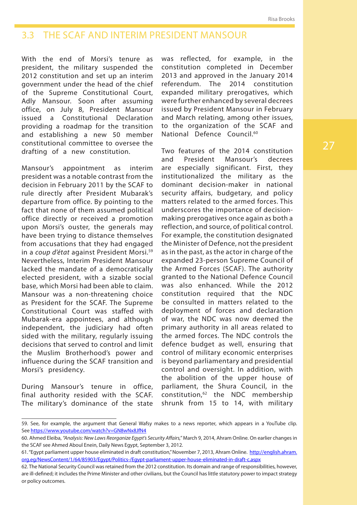Risa Brooks

## 3.3 THE SCAF AND INTERIM PRESIDENT MANSOUR

With the end of Morsi's tenure as president, the military suspended the 2012 constitution and set up an interim government under the head of the chief of the Supreme Constitutional Court, Adly Mansour. Soon after assuming office, on July 8, President Mansour issued a Constitutional Declaration providing a roadmap for the transition and establishing a new 50 member constitutional committee to oversee the drafting of a new constitution.

Mansour's appointment as interim president was a notable contrast from the decision in February 2011 by the SCAF to rule directly after President Mubarak's departure from office. By pointing to the fact that none of them assumed political office directly or received a promotion upon Morsi's ouster, the generals may have been trying to distance themselves from accusations that they had engaged in a *coup d'état* against President Morsi.59 Nevertheless, Interim President Mansour lacked the mandate of a democratically elected president, with a sizable social base, which Morsi had been able to claim. Mansour was a non-threatening choice as President for the SCAF. The Supreme Constitutional Court was staffed with Mubarak-era appointees, and although independent, the judiciary had often sided with the military, regularly issuing decisions that served to control and limit the Muslim Brotherhood's power and influence during the SCAF transition and Morsi's presidency.

During Mansour's tenure in office, final authority resided with the SCAF. The military's dominance of the state was reflected, for example, in the constitution completed in December 2013 and approved in the January 2014 referendum. The 2014 constitution expanded military prerogatives, which were further enhanced by several decrees issued by President Mansour in February and March relating, among other issues, to the organization of the SCAF and National Defence Council.<sup>60</sup>

Two features of the 2014 constitution and President Mansour's decrees are especially significant. First, they institutionalized the military as the dominant decision-maker in national security affairs, budgetary, and policy matters related to the armed forces. This underscores the importance of decisionmaking prerogatives once again as both a reflection, and source, of political control. For example, the constitution designated the Minister of Defence, not the president as in the past, as the actor in charge of the expanded 23-person Supreme Council of the Armed Forces (SCAF). The authority granted to the National Defence Council was also enhanced. While the 2012 constitution required that the NDC be consulted in matters related to the deployment of forces and declaration of war, the NDC was now deemed the primary authority in all areas related to the armed forces. The NDC controls the defence budget as well, ensuring that control of military economic enterprises is beyond parliamentary and presidential control and oversight. In addition, with the abolition of the upper house of parliament, the Shura Council, in the constitution,62 the NDC membership shrunk from 15 to 14, with military

<sup>59.</sup> See, for example, the argument that General Wafsy makes to a news reporter, which appears in a YouTube clip. See<https://www.youtube.com/watch?v=GN8wNx8JfN4>

<sup>60.</sup> Ahmed Eleiba, *"Analysis: New Laws Reorganize Egypt's Security Affairs,"* March 9, 2014, Ahram Online. On earlier changes in the SCAF see Ahmed Aboul Enein, Daily News Egypt, September 3, 2012.

<sup>61. &</sup>quot;Eqypt parliament upper house eliminated in draft constitution," November 7, 2013, Ahram Online. [http://english.ahram.](http://english.ahram.org.eg/NewsContent/1/64/85903/Egypt/Politics-/Egypt-parliament-upper-house-eliminated-in-draft-c.aspx) [org.eg/NewsContent/1/64/85903/Egypt/Politics-/Egypt-parliament-upper-house-eliminated-in-draft-c.aspx](http://english.ahram.org.eg/NewsContent/1/64/85903/Egypt/Politics-/Egypt-parliament-upper-house-eliminated-in-draft-c.aspx)

<sup>62.</sup> The National Security Council was retained from the 2012 constitution. Its domain and range of responsibilities, however, are ill-defined; it includes the Prime Minister and other civilians, but the Council has little statutory power to impact strategy or policy outcomes.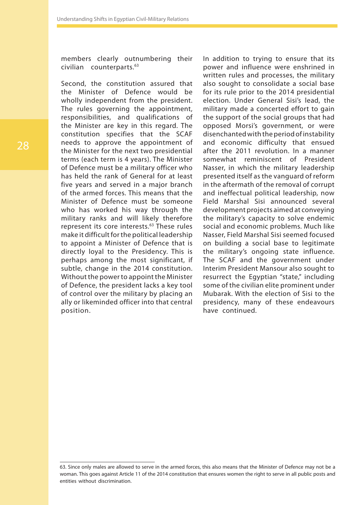members clearly outnumbering their civilian counterparts.63

Second, the constitution assured that the Minister of Defence would be wholly independent from the president. The rules governing the appointment, responsibilities, and qualifications of the Minister are key in this regard. The constitution specifies that the SCAF needs to approve the appointment of the Minister for the next two presidential terms (each term is 4 years). The Minister of Defence must be a military officer who has held the rank of General for at least five years and served in a major branch of the armed forces. This means that the Minister of Defence must be someone who has worked his way through the military ranks and will likely therefore represent its core interests.<sup>63</sup> These rules make it difficult for the political leadership to appoint a Minister of Defence that is directly loyal to the Presidency. This is perhaps among the most significant, if subtle, change in the 2014 constitution. Without the power to appoint the Minister of Defence, the president lacks a key tool of control over the military by placing an ally or likeminded officer into that central position.

In addition to trying to ensure that its power and influence were enshrined in written rules and processes, the military also sought to consolidate a social base for its rule prior to the 2014 presidential election. Under General Sisi's lead, the military made a concerted effort to gain the support of the social groups that had opposed Morsi's government, or were disenchanted with the period of instability and economic difficulty that ensued after the 2011 revolution. In a manner somewhat reminiscent of President Nasser, in which the military leadership presented itself as the vanguard of reform in the aftermath of the removal of corrupt and ineffectual political leadership, now Field Marshal Sisi announced several development projects aimed at conveying the military's capacity to solve endemic social and economic problems. Much like Nasser, Field Marshal Sisi seemed focused on building a social base to legitimate the military's ongoing state influence. The SCAF and the government under Interim President Mansour also sought to resurrect the Egyptian "state," including some of the civilian elite prominent under Mubarak. With the election of Sisi to the presidency, many of these endeavours have continued.

<sup>63.</sup> Since only males are allowed to serve in the armed forces, this also means that the Minister of Defence may not be a woman. This goes against Article 11 of the 2014 constitution that ensures women the right to serve in all public posts and entities without discrimination.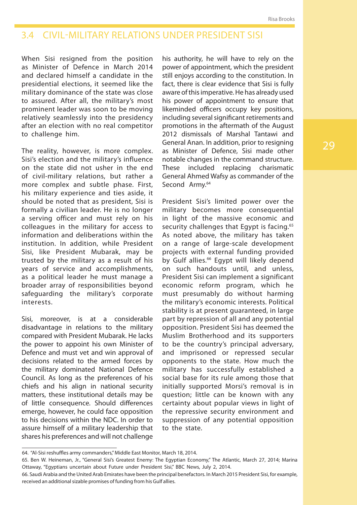#### 3.4 CIVIL-MILITARY RELATIONS UNDER PRESIDENT SISI

When Sisi resigned from the position as Minister of Defence in March 2014 and declared himself a candidate in the presidential elections, it seemed like the military dominance of the state was close to assured. After all, the military's most prominent leader was soon to be moving relatively seamlessly into the presidency after an election with no real competitor to challenge him.

The reality, however, is more complex. Sisi's election and the military's influence on the state did not usher in the end of civil-military relations, but rather a more complex and subtle phase. First, his military experience and ties aside, it should be noted that as president, Sisi is formally a civilian leader. He is no longer a serving officer and must rely on his colleagues in the military for access to information and deliberations within the institution. In addition, while President Sisi, like President Mubarak, may be trusted by the military as a result of his years of service and accomplishments, as a political leader he must manage a broader array of responsibilities beyond safeguarding the military's corporate interests.

Sisi, moreover, is at a considerable disadvantage in relations to the military compared with President Mubarak. He lacks the power to appoint his own Minister of Defence and must vet and win approval of decisions related to the armed forces by the military dominated National Defence Council. As long as the preferences of his chiefs and his align in national security matters, these institutional details may be of little consequence. Should differences emerge, however, he could face opposition to his decisions within the NDC. In order to assure himself of a military leadership that shares his preferences and will not challenge

his authority, he will have to rely on the power of appointment, which the president still enjoys according to the constitution. In fact, there is clear evidence that Sisi is fully aware of this imperative. He has already used his power of appointment to ensure that likeminded officers occupy key positions, including several significant retirements and promotions in the aftermath of the August 2012 dismissals of Marshal Tantawi and General Anan. In addition, prior to resigning as Minister of Defence, Sisi made other notable changes in the command structure. These included replacing charismatic General Ahmed Wafsy as commander of the Second Army.<sup>64</sup>

President Sisi's limited power over the military becomes more consequential in light of the massive economic and security challenges that Egypt is facing.<sup>65</sup> As noted above, the military has taken on a range of large-scale development projects with external funding provided by Gulf allies.<sup>66</sup> Egypt will likely depend on such handouts until, and unless, President Sisi can implement a significant economic reform program, which he must presumably do without harming the military's economic interests. Political stability is at present guaranteed, in large part by repression of all and any potential opposition. President Sisi has deemed the Muslim Brotherhood and its supporters to be the country's principal adversary, and imprisoned or repressed secular opponents to the state. How much the military has successfully established a social base for its rule among those that initially supported Morsi's removal is in question; little can be known with any certainty about popular views in light of the repressive security environment and suppression of any potential opposition to the state.

<sup>64. &</sup>quot;Al-Sisi reshuffles army commanders," Middle East Monitor, March 18, 2014.

<sup>65.</sup> Ben W. Heineman, Jr., "General Sisi's Greatest Enemy: The Egyptian Economy," The Atlantic, March 27, 2014; Marina Ottaway, "Egyptians uncertain about Future under President Sisi," BBC News, July 2, 2014.

<sup>66.</sup> Saudi Arabia and the United Arab Emirates have been the principal benefactors. In March 2015 President Sisi, for example, received an additional sizable promises of funding from his Gulf allies.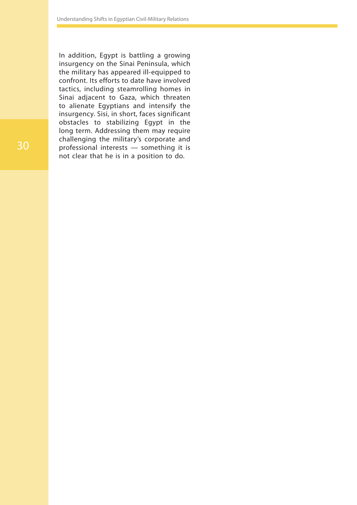In addition, Egypt is battling a growing insurgency on the Sinai Peninsula, which the military has appeared ill-equipped to confront. Its efforts to date have involved tactics, including steamrolling homes in Sinai adjacent to Gaza, which threaten to alienate Egyptians and intensify the insurgency. Sisi, in short, faces significant obstacles to stabilizing Egypt in the long term. Addressing them may require challenging the military's corporate and professional interests — something it is not clear that he is in a position to do.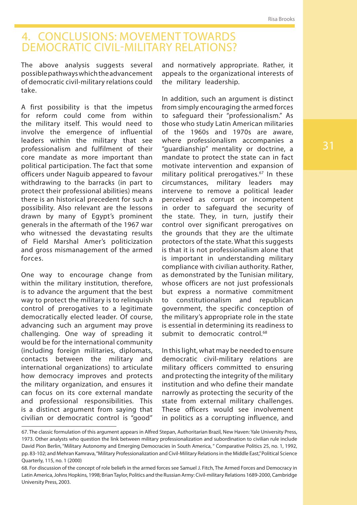# 4. CONCLUSIONS: MOVEMENT TOWARDS DEMOCRATIC CIVIL-MILITARY RELATIONS?

The above analysis suggests several possible pathways which the advancement of democratic civil-military relations could take.

A first possibility is that the impetus for reform could come from within the military itself. This would need to involve the emergence of influential leaders within the military that see professionalism and fulfilment of their core mandate as more important than political participation. The fact that some officers under Naguib appeared to favour withdrawing to the barracks (in part to protect their professional abilities) means there is an historical precedent for such a possibility. Also relevant are the lessons drawn by many of Egypt's prominent generals in the aftermath of the 1967 war who witnessed the devastating results of Field Marshal Amer's politicization and gross mismanagement of the armed forces.

One way to encourage change from within the military institution, therefore, is to advance the argument that the best way to protect the military is to relinquish control of prerogatives to a legitimate democratically elected leader. Of course, advancing such an argument may prove challenging. One way of spreading it would be for the international community (including foreign militaries, diplomats, contacts between the military and international organizations) to articulate how democracy improves and protects the military organization, and ensures it can focus on its core external mandate and professional responsibilities. This is a distinct argument from saying that civilian or democratic control is "good"

and normatively appropriate. Rather, it appeals to the organizational interests of the military leadership.

In addition, such an argument is distinct from simply encouraging the armed forces to safeguard their "professionalism." As those who study Latin American militaries of the 1960s and 1970s are aware, where professionalism accompanies a "guardianship" mentality or doctrine, a mandate to protect the state can in fact motivate intervention and expansion of military political prerogatives.<sup>67</sup> In these circumstances, military leaders may intervene to remove a political leader perceived as corrupt or incompetent in order to safeguard the security of the state. They, in turn, justify their control over significant prerogatives on the grounds that they are the ultimate protectors of the state. What this suggests is that it is not professionalism alone that is important in understanding military compliance with civilian authority. Rather, as demonstrated by the Tunisian military, whose officers are not just professionals but express a normative commitment to constitutionalism and republican government, the specific conception of the military's appropriate role in the state is essential in determining its readiness to submit to democratic control.<sup>68</sup>

In this light, what may be needed to ensure democratic civil-military relations are military officers committed to ensuring and protecting the integrity of the military institution and who define their mandate narrowly as protecting the security of the state from external military challenges. These officers would see involvement in politics as a corrupting influence, and

<sup>67.</sup> The classic formulation of this argument appears in Alfred Stepan, Authoritarian Brazil, New Haven: Yale University Press, 1973. Other analysts who question the link between military professionalization and subordination to civilian rule include David Pion Berlin, "Military Autonomy and Emerging Democracies in South America, " Comparative Politics 25, no. 1, 1992, pp. 83-102; and Mehran Kamrava, "Military Professionalization and Civil-Military Relations in the Middle East," Political Science Quarterly, 115, no. 1 (2000)

<sup>68.</sup> For discussion of the concept of role beliefs in the armed forces see Samuel J. Fitch, The Armed Forces and Democracy in Latin America, Johns Hopkins, 1998; Brian Taylor, Politics and the Russian Army: Civil-military Relations 1689-2000, Cambridge University Press, 2003.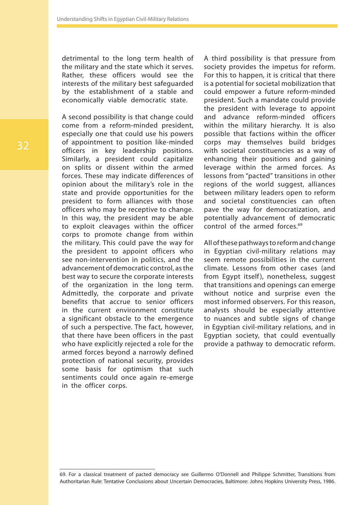detrimental to the long term health of the military and the state which it serves. Rather, these officers would see the interests of the military best safeguarded by the establishment of a stable and economically viable democratic state.

A second possibility is that change could come from a reform-minded president, especially one that could use his powers of appointment to position like-minded officers in key leadership positions. Similarly, a president could capitalize on splits or dissent within the armed forces. These may indicate differences of opinion about the military's role in the state and provide opportunities for the president to form alliances with those officers who may be receptive to change. In this way, the president may be able to exploit cleavages within the officer corps to promote change from within the military. This could pave the way for the president to appoint officers who see non-intervention in politics, and the advancement of democratic control, as the best way to secure the corporate interests of the organization in the long term. Admittedly, the corporate and private benefits that accrue to senior officers in the current environment constitute a significant obstacle to the emergence of such a perspective. The fact, however, that there have been officers in the past who have explicitly rejected a role for the armed forces beyond a narrowly defined protection of national security, provides some basis for optimism that such sentiments could once again re-emerge in the officer corps.

A third possibility is that pressure from society provides the impetus for reform. For this to happen, it is critical that there is a potential for societal mobilization that could empower a future reform-minded president. Such a mandate could provide the president with leverage to appoint and advance reform-minded officers within the military hierarchy. It is also possible that factions within the officer corps may themselves build bridges with societal constituencies as a way of enhancing their positions and gaining leverage within the armed forces. As lessons from "pacted" transitions in other regions of the world suggest, alliances between military leaders open to reform and societal constituencies can often pave the way for democratization, and potentially advancement of democratic control of the armed forces.<sup>69</sup>

All of these pathways to reform and change in Egyptian civil-military relations may seem remote possibilities in the current climate. Lessons from other cases (and from Egypt itself), nonetheless, suggest that transitions and openings can emerge without notice and surprise even the most informed observers. For this reason, analysts should be especially attentive to nuances and subtle signs of change in Egyptian civil-military relations, and in Egyptian society, that could eventually provide a pathway to democratic reform.

<sup>69.</sup> For a classical treatment of pacted democracy see Guillermo O'Donnell and Philippe Schmitter, Transitions from Authoritarian Rule: Tentative Conclusions about Uncertain Democracies, Baltimore: Johns Hopkins University Press, 1986.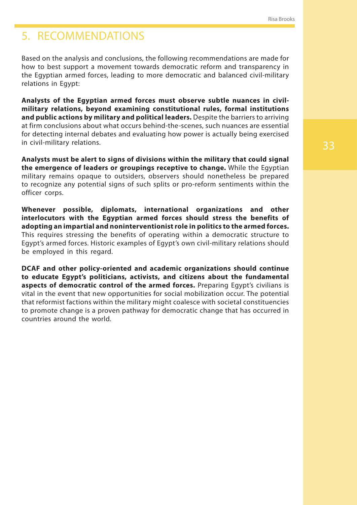## 5. RECOMMENDATIONS

Based on the analysis and conclusions, the following recommendations are made for how to best support a movement towards democratic reform and transparency in the Egyptian armed forces, leading to more democratic and balanced civil-military relations in Egypt:

**Analysts of the Egyptian armed forces must observe subtle nuances in civilmilitary relations, beyond examining constitutional rules, formal institutions and public actions by military and political leaders.** Despite the barriers to arriving at firm conclusions about what occurs behind-the-scenes, such nuances are essential for detecting internal debates and evaluating how power is actually being exercised in civil-military relations.

**Analysts must be alert to signs of divisions within the military that could signal the emergence of leaders or groupings receptive to change.** While the Egyptian military remains opaque to outsiders, observers should nonetheless be prepared to recognize any potential signs of such splits or pro-reform sentiments within the officer corps.

**Whenever possible, diplomats, international organizations and other interlocutors with the Egyptian armed forces should stress the benefits of adopting an impartial and noninterventionist role in politics to the armed forces.** This requires stressing the benefits of operating within a democratic structure to Egypt's armed forces. Historic examples of Egypt's own civil-military relations should be employed in this regard.

**DCAF and other policy-oriented and academic organizations should continue to educate Egypt's politicians, activists, and citizens about the fundamental aspects of democratic control of the armed forces.** Preparing Egypt's civilians is vital in the event that new opportunities for social mobilization occur. The potential that reformist factions within the military might coalesce with societal constituencies to promote change is a proven pathway for democratic change that has occurred in countries around the world.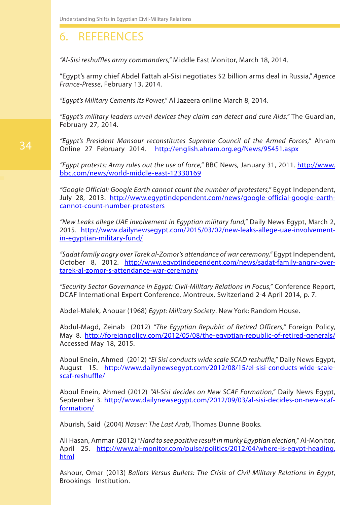# 6. REFERENCES

*"Al-Sisi reshuffles army commanders,"* Middle East Monitor, March 18, 2014.

"Egypt's army chief Abdel Fattah al-Sisi negotiates \$2 billion arms deal in Russia," *Agence France-Presse*, February 13, 2014.

*"Egypt's Military Cements its Power,"* Al Jazeera online March 8, 2014.

*"Egypt's military leaders unveil devices they claim can detect and cure Aids,"* The Guardian, February 27, 2014.

*"Egypt's President Mansour reconstitutes Supreme Council of the Armed Forces,"* Ahram Online 27 February 2014. <http://english.ahram.org.eg/News/95451.aspx>

*"Egypt protests: Army rules out the use of force,"* BBC News, January 31, 2011. [http://www.](http://www.bbc.com/news/world) [bbc.com/news/world](http://www.bbc.com/news/world)-middle-east-12330169

*"Google Official: Google Earth cannot count the number of protesters,"* Egypt Independent, July 28, 2013. <http://www.egyptindependent.com/news/google>-official-google-earthcannot-count-number-protesters

*"New Leaks allege UAE involvement in Egyptian military fund,"* Daily News Egypt, March 2, 2015. <http://www.dailynewsegypt.com/2015/03/02/new>-leaks-allege-uae-involvementin-egyptian-military-fund/

*"Sadat family angry over Tarek al-Zomor's attendance of war ceremony,"* Egypt Independent, October 8, 2012. [http://www.egyptindependent.com/news/sadat-](http://www.egyptindependent.com/news/sadat)family-angry-overtarek-al-zomor-s-attendance-war-ceremony

*"Security Sector Governance in Egypt: Civil-Military Relations in Focus,"* Conference Report, DCAF International Expert Conference, Montreux, Switzerland 2-4 April 2014, p. 7.

Abdel-Malek, Anouar (1968) *Egypt: Military Society*. New York: Random House.

Abdul-Magd, Zeinab (2012) *"The Egyptian Republic of Retired Officers,"* Foreign Policy, May 8. [http://foreignpolicy.com/2012/05/08/the-](http://foreignpolicy.com/2012/05/08/the)egyptian-republic-of-retired-generals/ Accessed May 18, 2015.

Aboul Enein, Ahmed (2012) *"El Sisi conducts wide scale SCAD reshuffle,"* Daily News Egypt, August 15. [http://www.dailynewsegypt.com/2012/08/15/el-](http://www.dailynewsegypt.com/2012/08/15/el)sisi-conducts-wide-scalescaf-reshuffle/

Aboul Enein, Ahmed (2012) *"Al-Sisi decides on New SCAF Formation,"* Daily News Egypt, September 3. <http://www.dailynewsegypt.com/2012/09/03/al>-sisi-decides-on-new-scafformation/

Aburish, Said (2004) *Nasser: The Last Arab*, Thomas Dunne Books.

Ali Hasan, Ammar (2012) *"Hard to see positive result in murky Egyptian election,"* Al-Monitor, April 25. [http://www.al-monitor.com/pulse/politics/2012/04/where-is-egypt-heading.](http://www.al-monitor.com/pulse/politics/2012/04/where-is-egypt-heading.html) [html](http://www.al-monitor.com/pulse/politics/2012/04/where-is-egypt-heading.html)

Ashour, Omar (2013) *Ballots Versus Bullets: The Crisis of Civil-Military Relations in Egypt*, Brookings Institution.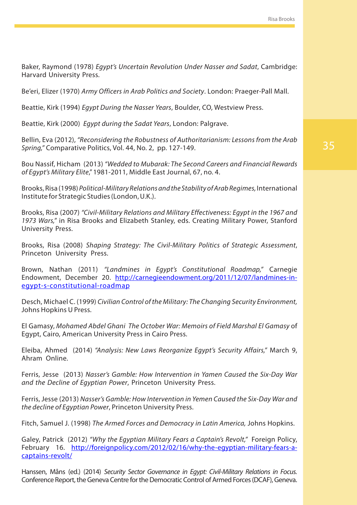Baker, Raymond (1978) *Egypt's Uncertain Revolution Under Nasser and Sadat*, Cambridge: Harvard University Press.

Be'eri, Elizer (1970) *Army Officers in Arab Politics and Society*. London: Praeger-Pall Mall.

Beattie, Kirk (1994) *Egypt During the Nasser Years*, Boulder, CO, Westview Press.

Beattie, Kirk (2000) *Egypt during the Sadat Years*, London: Palgrave.

Bellin, Eva (2012), *"Reconsidering the Robustness of Authoritarianism: Lessons from the Arab Spring,"* Comparative Politics, Vol. 44, No. 2, pp. 127-149.

Bou Nassif, Hicham (2013) *"Wedded to Mubarak: The Second Careers and Financial Rewards of Egypt's Military Elite*," 1981-2011, Middle East Journal, 67, no. 4.

Brooks, Risa (1998) *Political-Military Relations and the Stability of Arab Regimes,* International Institute for Strategic Studies (London, U.K.).

Brooks, Risa (2007) *"Civil-Military Relations and Military Effectiveness: Egypt in the 1967 and 1973 Wars,"* in Risa Brooks and Elizabeth Stanley, eds. Creating Military Power, Stanford University Press.

Brooks, Risa (2008) *Shaping Strategy: The Civil-Military Politics of Strategic Assessment*, Princeton University Press.

Brown, Nathan (2011) *"Landmines in Egypt's Constitutional Roadmap,"* Carnegie Endowment, December 20. <http://carnegieendowment.org/2011/12/07/landmines>-inegypt-s-constitutional-roadmap

Desch, Michael C. (1999) *Civilian Control of the Military: The Changing Security Environment,* Johns Hopkins U Press.

El Gamasy, *Mohamed Abdel Ghani The October War: Memoirs of Field Marshal El Gamasy* of Egypt, Cairo, American University Press in Cairo Press.

Eleiba, Ahmed (2014) *"Analysis: New Laws Reorganize Egypt's Security Affairs,"* March 9, Ahram Online.

Ferris, Jesse (2013) *Nasser's Gamble: How Intervention in Yamen Caused the Six-Day War and the Decline of Egyptian Power*, Princeton University Press.

Ferris, Jesse (2013) *Nasser's Gamble: How Intervention in Yemen Caused the Six-Day War and the decline of Egyptian Power*, Princeton University Press.

Fitch, Samuel J. (1998) *The Armed Forces and Democracy in Latin America,* Johns Hopkins.

Galey, Patrick (2012) *"Why the Egyptian Military Fears a Captain's Revolt,"* Foreign Policy, February 16. <http://foreignpolicy.com/2012/02/16/why>-the-egyptian-military-fears-acaptains-revolt/

Hanssen, Måns (ed.) (2014) *Security Sector Governance in Egypt: Civil-Military Relations in Focus.* Conference Report, the Geneva Centre for the Democratic Control of Armed Forces (DCAF), Geneva.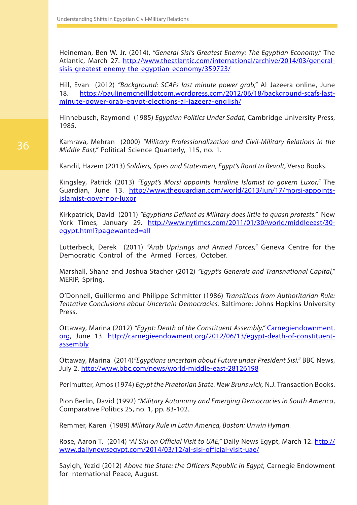Heineman, Ben W. Jr. (2014), *"General Sisi's Greatest Enemy: The Egyptian Economy,"* The Atlantic, March 27. [http://www.theatlantic.com/international/archive/2014/03/general](http://www.theatlantic.com/international/archive/2014/03/general-sisis-greatest-enemy-the-egyptian-economy/359723)[sisis-greatest-enemy-the-egyptian-economy/359723/](http://www.theatlantic.com/international/archive/2014/03/general-sisis-greatest-enemy-the-egyptian-economy/359723)

Hill, Evan (2012) *"Background: SCAFs last minute power grab,"* Al Jazeera online, June 18. [https://paulinemcneilldotcom.wordpress.com/2012/06/18/background-](https://paulinemcneilldotcom.wordpress.com/2012/06/18/background)scafs-lastminute-power-grab-egypt-elections-al-jazeera-english/

Hinnebusch, Raymond (1985) *Egyptian Politics Under Sadat,* Cambridge University Press, 1985.

Kamrava, Mehran (2000) *"Military Professionalization and Civil-Military Relations in the Middle East,"* Political Science Quarterly, 115, no. 1.

Kandil, Hazem (2013) *Soldiers, Spies and Statesmen, Egypt's Road to Revolt,* Verso Books.

Kingsley, Patrick (2013) *"Egypt's Morsi appoints hardline Islamist to govern Luxor,"* The Guardian, June 13. <http://www.theguardian.com/world/2013/jun/17/morsi>-appointsislamist-governor-luxor

Kirkpatrick, David (2011) *"Egyptians Defiant as Military does little to quash protests."* New York Times, January 29. [http://www.nytimes.com/2011/01/30/world/middleeast/30](http://www.nytimes.com/2011/01/30/world/middleeast/30-egypt.html?pagewanted=all) [egypt.html?pagewanted=all](http://www.nytimes.com/2011/01/30/world/middleeast/30-egypt.html?pagewanted=all)

Lutterbeck, Derek (2011) *"Arab Uprisings and Armed Forces,"* Geneva Centre for the Democratic Control of the Armed Forces, October.

Marshall, Shana and Joshua Stacher (2012) *"Egypt's Generals and Transnational Capital,"*  MERIP, Spring.

O'Donnell, Guillermo and Philippe Schmitter (1986) *Transitions from Authoritarian Rule: Tentative Conclusions about Uncertain Democracies*, Baltimore: Johns Hopkins University Press.

Ottaway, Marina (2012) *"Egypt: Death of the Constituent Assembly,"* [Carnegiendownment.](Carnegiendownment.org) [org,](Carnegiendownment.org) June 13. [http://carnegieendowment.org/2012/06/13/egypt-](http://carnegieendowment.org/2012/06/13/egypt)death-of-constituentassembly

Ottaway, Marina (2014)*"Egyptians uncertain about Future under President Sisi,"* BBC News, July 2. [http://www.bbc.com/news/world-](http://www.bbc.com/news/world)middle-east-28126198

Perlmutter, Amos (1974) *Egypt the Praetorian State. New Brunswick,* N.J. Transaction Books.

Pion Berlin, David (1992) *"Military Autonomy and Emerging Democracies in South America*, Comparative Politics 25, no. 1, pp. 83-102.

Remmer, Karen (1989) *Military Rule in Latin America, Boston: Unwin Hyman.* 

Rose, Aaron T. (2014) *"Al Sisi on Official Visit to UAE,"* Daily News Egypt, March 12. [http://](http://www.dailynewsegypt.com/2014/03/12/al) [www.dailynewsegypt.com/2014/03/12/al](http://www.dailynewsegypt.com/2014/03/12/al)-sisi-official-visit-uae/

Sayigh, Yezid (2012) *Above the State: the Officers Republic in Egypt,* Carnegie Endowment for International Peace, August.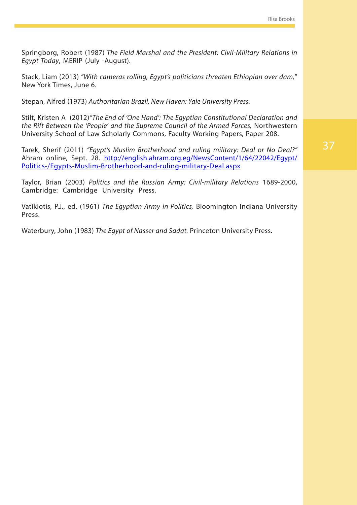Springborg, Robert (1987) *The Field Marshal and the President: Civil-Military Relations in Egypt Today*, MERIP (July -August).

Stack, Liam (2013) *"With cameras rolling, Egypt's politicians threaten Ethiopian over dam,*" New York Times, June 6.

Stepan, Alfred (1973) *Authoritarian Brazil, New Haven: Yale University Press.* 

Stilt, Kristen A (2012)*"The End of 'One Hand': The Egyptian Constitutional Declaration and the Rift Between the 'People' and the Supreme Council of the Armed Forces,* Northwestern University School of Law Scholarly Commons, Faculty Working Papers, Paper 208.

Tarek, Sherif (2011) *"Egypt's Muslim Brotherhood and ruling military: Deal or No Deal?"*  Ahram online, Sept. 28. [http://english.ahram.org.eg/NewsContent/1/64/22042/Egypt/](http://english.ahram.org.eg/NewsContent/1/64/22042/Egypt/Politics-/Egypts-Muslim-Brotherhood-and-ruling-military-Deal.aspx) [Politics-/Egypts-Muslim-Brotherhood-and-ruling-military-Deal.aspx](http://english.ahram.org.eg/NewsContent/1/64/22042/Egypt/Politics-/Egypts-Muslim-Brotherhood-and-ruling-military-Deal.aspx)

Taylor, Brian (2003) *Politics and the Russian Army: Civil-military Relations* 1689-2000, Cambridge: Cambridge University Press.

Vatikiotis, P.J., ed. (1961) *The Egyptian Army in Politics,* Bloomington Indiana University Press.

Waterbury, John (1983) *The Egypt of Nasser and Sadat.* Princeton University Press.